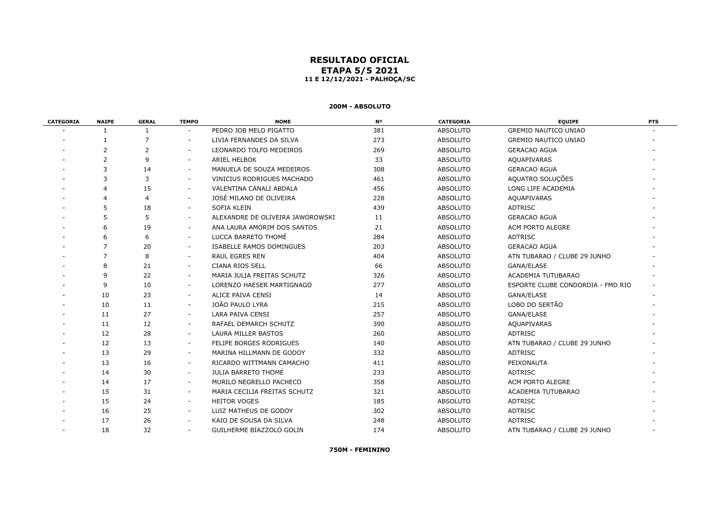# **RESULTADO OFICIAL ETAPA 5/5 2021 11 E 12/12/2021 - PALHOÇA/SC**

# **200M - ABSOLUTO**

| <b>CATEGORIA</b> | <b>NAIPE</b>   | <b>GERAL</b> | <b>TEMPO</b>             | <b>NOME</b>                      | <b>N°</b> | <b>CATEGORIA</b> | <b>EQUIPE</b>                     | <b>PTS</b> |
|------------------|----------------|--------------|--------------------------|----------------------------------|-----------|------------------|-----------------------------------|------------|
|                  |                | 1            | $\sim$                   | PEDRO JOB MELO PIGATTO           | 381       | <b>ABSOLUTO</b>  | <b>GREMIO NAUTICO UNIAO</b>       |            |
|                  |                | 7            | $\sim$                   | LIVIA FERNANDES DA SILVA         | 273       | <b>ABSOLUTO</b>  | <b>GREMIO NAUTICO UNIAO</b>       |            |
|                  | 2              | 2            | $\sim$                   | LEONARDO TOLFO MEDEIROS          | 269       | ABSOLUTO         | <b>GERACAO AGUA</b>               |            |
|                  | $\overline{2}$ | 9            | $\sim$                   | <b>ARIEL HELBOK</b>              | 33        | <b>ABSOLUTO</b>  | AQUAPIVARAS                       |            |
|                  | 3              | 14           | $\sim$                   | MANUELA DE SOUZA MEDEIROS        | 308       | <b>ABSOLUTO</b>  | <b>GERACAO AGUA</b>               |            |
|                  | 3              | 3            | $\sim$                   | VINICIUS RODRIGUES MACHADO       | 461       | <b>ABSOLUTO</b>  | AQUATRO SOLUÇÕES                  |            |
|                  |                | 15           | $\sim$                   | VALENTINA CANALI ABDALA          | 456       | <b>ABSOLUTO</b>  | LONG LIFE ACADEMIA                |            |
|                  | 4              | 4            | $\sim$                   | JOSÉ MILANO DE OLIVEIRA          | 228       | <b>ABSOLUTO</b>  | AQUAPIVARAS                       |            |
|                  |                | 18           | $\sim$                   | <b>SOFIA KLEIN</b>               | 439       | <b>ABSOLUTO</b>  | <b>ADTRISC</b>                    |            |
|                  |                | 5            | $\sim$                   | ALEXANDRE DE OLIVEIRA JAWOROWSKI | 11        | <b>ABSOLUTO</b>  | <b>GERACAO AGUA</b>               |            |
|                  |                | 19           | $\overline{\phantom{a}}$ | ANA LAURA AMORIM DOS SANTOS      | 21        | <b>ABSOLUTO</b>  | ACM PORTO ALEGRE                  |            |
|                  |                | 6            | $\sim$                   | LUCCA BARRETO THOMÉ              | 284       | <b>ABSOLUTO</b>  | <b>ADTRISC</b>                    |            |
|                  |                | 20           | $\sim$                   | ISABELLE RAMOS DOMINGUES         | 203       | ABSOLUTO         | <b>GERACAO AGUA</b>               |            |
|                  | $\overline{7}$ | 8            | $\sim$                   | <b>RAUL EGRES REN</b>            | 404       | ABSOLUTO         | ATN TUBARAO / CLUBE 29 JUNHO      |            |
|                  | 8              | 21           | $\sim$                   | CIANA RIOS SELL                  | 66        | ABSOLUTO         | GANA/ELASE                        |            |
|                  | q              | 22           | $\sim$                   | MARIA JULIA FREITAS SCHUTZ       | 326       | <b>ABSOLUTO</b>  | ACADEMIA TUTUBARAO                |            |
|                  | 9              | 10           | $\sim$                   | LORENZO HAESER MARTIGNAGO        | 277       | <b>ABSOLUTO</b>  | ESPORTE CLUBE CONDORDIA - FMD RIO |            |
|                  | 10             | 23           | $\sim$                   | ALICE PAIVA CENSI                | 14        | <b>ABSOLUTO</b>  | GANA/ELASE                        |            |
|                  | 10             | 11           | $\sim$                   | JOÃO PAULO LYRA                  | 215       | ABSOLUTO         | LOBO DO SERTÃO                    |            |
|                  | 11             | 27           | $\sim$                   | <b>LARA PAIVA CENSI</b>          | 257       | <b>ABSOLUTO</b>  | GANA/ELASE                        |            |
|                  | 11             | 12           | $\sim$                   | RAFAEL DEMARCH SCHUTZ            | 390       | <b>ABSOLUTO</b>  | AQUAPIVARAS                       |            |
|                  | 12             | 28           | $\sim$                   | LAURA MILLER BASTOS              | 260       | <b>ABSOLUTO</b>  | <b>ADTRISC</b>                    |            |
|                  | 12             | 13           | $\sim$                   | FELIPE BORGES RODRIGUES          | 140       | <b>ABSOLUTO</b>  | ATN TUBARAO / CLUBE 29 JUNHO      |            |
|                  | 13             | 29           | $\overline{\phantom{a}}$ | MARINA HILLMANN DE GODOY         | 332       | <b>ABSOLUTO</b>  | <b>ADTRISC</b>                    |            |
|                  | 13             | 16           |                          | RICARDO WITTMANN CAMACHO         | 411       | <b>ABSOLUTO</b>  | PEIXONAUTA                        |            |
|                  | 14             | 30           | $\sim$                   | JULIA BARRETO THOMÉ              | 233       | ABSOLUTO         | ADTRISC                           |            |
|                  | 14             | 17           | $\sim$                   | MURILO NEGRELLO PACHECO          | 358       | <b>ABSOLUTO</b>  | ACM PORTO ALEGRE                  |            |
|                  | 15             | 31           | $\sim$                   | MARIA CECILIA FREITAS SCHUTZ     | 321       | <b>ABSOLUTO</b>  | ACADEMIA TUTUBARAO                |            |
|                  | 15             | 24           | $\sim$                   | <b>HEITOR VOGES</b>              | 185       | ABSOLUTO         | <b>ADTRISC</b>                    |            |
|                  | 16             | 25           | $\sim$                   | LUIZ MATHEUS DE GODOY            | 302       | ABSOLUTO         | ADTRISC                           |            |
|                  | 17             | 26           | $\sim$                   | KAIO DE SOUSA DA SILVA           | 248       | <b>ABSOLUTO</b>  | <b>ADTRISC</b>                    |            |
|                  | 18             | 32           | $\overline{\phantom{a}}$ | GUILHERME BIAZZOLO GOLIN         | 174       | <b>ABSOLUTO</b>  | ATN TUBARAO / CLUBE 29 JUNHO      |            |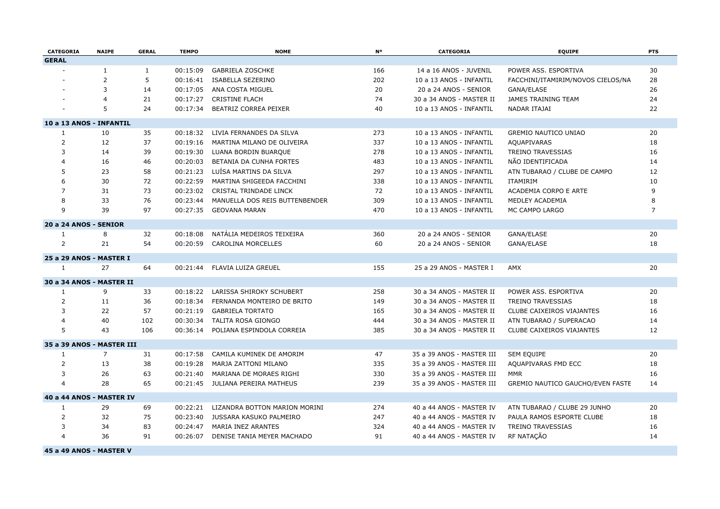| CATEGORIA                 | <b>NAIPE</b>   | <b>GERAL</b> | <b>TEMPO</b> | <b>NOME</b>                    | N <sup>o</sup> | CATEGORIA                 | <b>EQUIPE</b>                     | <b>PTS</b>     |
|---------------------------|----------------|--------------|--------------|--------------------------------|----------------|---------------------------|-----------------------------------|----------------|
| <b>GERAL</b>              |                |              |              |                                |                |                           |                                   |                |
|                           | $\mathbf{1}$   | $\mathbf{1}$ | 00:15:09     | <b>GABRIELA ZOSCHKE</b>        | 166            | 14 a 16 ANOS - JUVENIL    | POWER ASS. ESPORTIVA              | 30             |
|                           | $\overline{2}$ | 5            | 00:16:41     | ISABELLA SEZERINO              | 202            | 10 a 13 ANOS - INFANTIL   | FACCHINI/ITAMIRIM/NOVOS CIELOS/NA | 28             |
|                           | 3              | 14           | 00:17:05     | ANA COSTA MIGUEL               | 20             | 20 a 24 ANOS - SENIOR     | GANA/ELASE                        | 26             |
|                           | $\overline{4}$ | 21           | 00:17:27     | <b>CRISTINE FLACH</b>          | 74             | 30 a 34 ANOS - MASTER II  | JAMES TRAINING TEAM               | 24             |
|                           | 5              | 24           | 00:17:34     | BEATRIZ CORREA PEIXER          | 40             | 10 a 13 ANOS - INFANTIL   | NADAR ITAJAI                      | 22             |
| 10 a 13 ANOS - INFANTIL   |                |              |              |                                |                |                           |                                   |                |
| 1                         | 10             | 35           | 00:18:32     | LIVIA FERNANDES DA SILVA       | 273            | 10 a 13 ANOS - INFANTIL   | <b>GREMIO NAUTICO UNIAO</b>       | 20             |
| $\overline{2}$            | 12             | 37           | 00:19:16     | MARTINA MILANO DE OLIVEIRA     | 337            | 10 a 13 ANOS - INFANTIL   | AQUAPIVARAS                       | 18             |
| 3                         | 14             | 39           | 00:19:30     | LUANA BORDIN BUARQUE           | 278            | 10 a 13 ANOS - INFANTIL   | <b>TREINO TRAVESSIAS</b>          | 16             |
| $\overline{4}$            | 16             | 46           | 00:20:03     | BETANIA DA CUNHA FORTES        | 483            | 10 a 13 ANOS - INFANTIL   | NÃO IDENTIFICADA                  | 14             |
| 5                         | 23             | 58           | 00:21:23     | LUÍSA MARTINS DA SILVA         | 297            | 10 a 13 ANOS - INFANTIL   | ATN TUBARAO / CLUBE DE CAMPO      | 12             |
| 6                         | 30             | 72           | 00:22:59     | MARTINA SHIGEEDA FACCHINI      | 338            | 10 a 13 ANOS - INFANTIL   | <b>ITAMIRIM</b>                   | 10             |
| $\overline{7}$            | 31             | 73           | 00:23:02     | CRISTAL TRINDADE LINCK         | 72             | 10 a 13 ANOS - INFANTIL   | ACADEMIA CORPO E ARTE             | 9              |
| 8                         | 33             | 76           | 00:23:44     | MANUELLA DOS REIS BUTTENBENDER | 309            | 10 a 13 ANOS - INFANTIL   | MEDLEY ACADEMIA                   | 8              |
| 9                         | 39             | 97           | 00:27:35     | <b>GEOVANA MARAN</b>           | 470            | 10 a 13 ANOS - INFANTIL   | MC CAMPO LARGO                    | $\overline{7}$ |
| 20 a 24 ANOS - SENIOR     |                |              |              |                                |                |                           |                                   |                |
| 1                         | 8              | 32           | 00:18:08     | NATÁLIA MEDEIROS TEIXEIRA      | 360            | 20 a 24 ANOS - SENIOR     | GANA/ELASE                        | 20             |
| $\overline{2}$            | 21             | 54           | 00:20:59     | <b>CAROLINA MORCELLES</b>      | 60             | 20 a 24 ANOS - SENIOR     | GANA/ELASE                        | 18             |
| 25 a 29 ANOS - MASTER I   |                |              |              |                                |                |                           |                                   |                |
| $\mathbf{1}$              | 27             | 64           | 00:21:44     | FLAVIA LUIZA GREUEL            | 155            | 25 a 29 ANOS - MASTER I   | AMX                               | 20             |
| 30 a 34 ANOS - MASTER II  |                |              |              |                                |                |                           |                                   |                |
| $\mathbf{1}$              | 9              | 33           | 00:18:22     | LARISSA SHIROKY SCHUBERT       | 258            | 30 a 34 ANOS - MASTER II  | POWER ASS. ESPORTIVA              | 20             |
| $\overline{2}$            | 11             | 36           | 00:18:34     | FERNANDA MONTEIRO DE BRITO     | 149            | 30 a 34 ANOS - MASTER II  | TREINO TRAVESSIAS                 | 18             |
| 3                         | 22             | 57           | 00:21:19     | <b>GABRIELA TORTATO</b>        | 165            | 30 a 34 ANOS - MASTER II  | CLUBE CAIXEIROS VIAJANTES         | 16             |
| $\overline{4}$            | 40             | 102          | 00:30:34     | <b>TALITA ROSA GIONGO</b>      | 444            | 30 a 34 ANOS - MASTER II  | ATN TUBARAO / SUPERACAO           | 14             |
| 5                         | 43             | 106          | 00:36:14     | POLIANA ESPINDOLA CORREIA      | 385            | 30 a 34 ANOS - MASTER II  | CLUBE CAIXEIROS VIAJANTES         | 12             |
| 35 a 39 ANOS - MASTER III |                |              |              |                                |                |                           |                                   |                |
| $\mathbf{1}$              | $\overline{7}$ | 31           | 00:17:58     | CAMILA KUMINEK DE AMORIM       | 47             | 35 a 39 ANOS - MASTER III | SEM EQUIPE                        | 20             |
| 2                         | 13             | 38           | 00:19:28     | MARJA ZATTONI MILANO           | 335            | 35 a 39 ANOS - MASTER III | AQUAPIVARAS FMD ECC               | 18             |
| 3                         | 26             | 63           | 00:21:40     | MARIANA DE MORAES RIGHI        | 330            | 35 a 39 ANOS - MASTER III | <b>MMR</b>                        | 16             |
| $\overline{4}$            | 28             | 65           | 00:21:45     | JULIANA PEREIRA MATHEUS        | 239            | 35 a 39 ANOS - MASTER III | GREMIO NAUTICO GAUCHO/EVEN FASTE  | 14             |
| 40 a 44 ANOS - MASTER IV  |                |              |              |                                |                |                           |                                   |                |
| $\mathbf{1}$              | 29             | 69           | 00:22:21     | LIZANDRA BOTTON MARION MORINI  | 274            | 40 a 44 ANOS - MASTER IV  | ATN TUBARAO / CLUBE 29 JUNHO      | 20             |
| 2                         | 32             | 75           | 00:23:40     | JUSSARA KASUKO PALMEIRO        | 247            | 40 a 44 ANOS - MASTER IV  | PAULA RAMOS ESPORTE CLUBE         | 18             |
| 3                         | 34             | 83           | 00:24:47     | MARIA INEZ ARANTES             | 324            | 40 a 44 ANOS - MASTER IV  | <b>TREINO TRAVESSIAS</b>          | 16             |
| $\overline{4}$            | 36             | 91           | 00:26:07     | DENISE TANIA MEYER MACHADO     | 91             | 40 a 44 ANOS - MASTER IV  | RF NATAÇÃO                        | 14             |

**45 a 49 ANOS - MASTER V**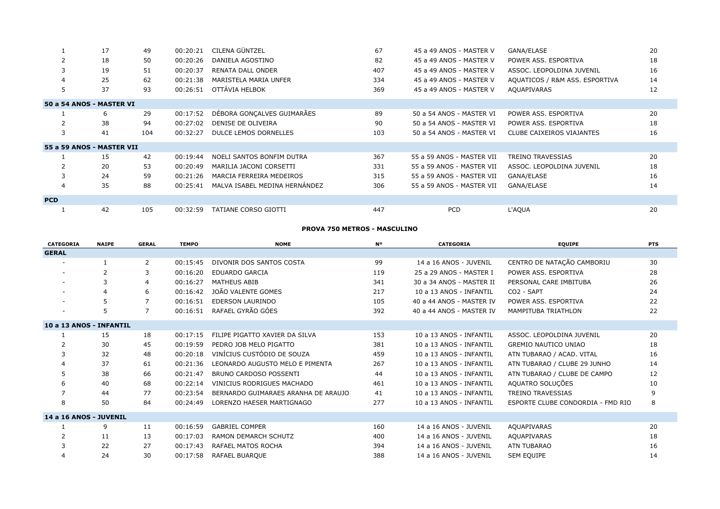|                | 17                        | 49  | 00:20:21 | CILENA GÜNTZEL                | 67  | 45 a 49 ANOS - MASTER V   | GANA/ELASE                       | 20 |
|----------------|---------------------------|-----|----------|-------------------------------|-----|---------------------------|----------------------------------|----|
|                | 18                        | 50  | 00:20:26 | DANIELA AGOSTINO              | 82  | 45 a 49 ANOS - MASTER V   | POWER ASS. ESPORTIVA             | 18 |
|                | 19                        | 51  | 00:20:37 | RENATA DALL ONDER             | 407 | 45 a 49 ANOS - MASTER V   | ASSOC. LEOPOLDINA JUVENIL        | 16 |
| $\overline{4}$ | 25                        | 62  | 00:21:38 | MARISTELA MARIA UNFER         | 334 | 45 a 49 ANOS - MASTER V   | AQUATICOS / R&M ASS. ESPORTIVA   | 14 |
| 5              | 37                        | 93  | 00:26:51 | OTTÁVIA HELBOK                | 369 | 45 a 49 ANOS - MASTER V   | AQUAPIVARAS                      | 12 |
|                | 50 a 54 ANOS - MASTER VI  |     |          |                               |     |                           |                                  |    |
|                | 6                         | 29  | 00:17:52 | DÉBORA GONCALVES GUIMARÃES    | 89  | 50 a 54 ANOS - MASTER VI  | POWER ASS. ESPORTIVA             | 20 |
|                | 38                        | 94  | 00:27:02 | DENISE DE OLIVEIRA            | 90  | 50 a 54 ANOS - MASTER VI  | POWER ASS. ESPORTIVA             | 18 |
| 3              | 41                        | 104 | 00:32:27 | DULCE LEMOS DORNELLES         | 103 | 50 a 54 ANOS - MASTER VI  | <b>CLUBE CAIXEIROS VIAJANTES</b> | 16 |
|                | 55 a 59 ANOS - MASTER VII |     |          |                               |     |                           |                                  |    |
|                | 15                        | 42  | 00:19:44 | NOELI SANTOS BONFIM DUTRA     | 367 | 55 a 59 ANOS - MASTER VII | <b>TREINO TRAVESSIAS</b>         | 20 |
|                | 20                        | 53  | 00:20:49 | MARILIA JACONI CORSETTI       | 331 | 55 a 59 ANOS - MASTER VII | ASSOC. LEOPOLDINA JUVENIL        | 18 |
|                | 24                        | 59  | 00:21:26 | MARCIA FERREIRA MEDEIROS      | 315 | 55 a 59 ANOS - MASTER VII | GANA/ELASE                       | 16 |
| $\overline{4}$ | 35                        | 88  | 00:25:41 | MALVA ISABEL MEDINA HERNÁNDEZ | 306 | 55 a 59 ANOS - MASTER VII | GANA/ELASE                       | 14 |
| <b>PCD</b>     |                           |     |          |                               |     |                           |                                  |    |
|                | 42                        | 105 | 00:32:59 | TATIANE CORSO GIOTTI          | 447 | <b>PCD</b>                | L'AQUA                           | 20 |

### **PROVA 750 METROS - MASCULINO**

| <b>CATEGORIA</b>        | <b>NAIPE</b>   | <b>GERAL</b> | <b>TEMPO</b> | <b>NOME</b>                         | N٥  | <b>CATEGORIA</b>         | <b>EQUIPE</b>                     | <b>PTS</b> |
|-------------------------|----------------|--------------|--------------|-------------------------------------|-----|--------------------------|-----------------------------------|------------|
| <b>GERAL</b>            |                |              |              |                                     |     |                          |                                   |            |
| $\sim$                  |                | 2            | 00:15:45     | DIVONIR DOS SANTOS COSTA            | 99  | 14 a 16 ANOS - JUVENIL   | CENTRO DE NATAÇÃO CAMBORIU        | 30         |
| $\sim$                  | $\overline{2}$ | 3            | 00:16:20     | <b>EDUARDO GARCIA</b>               | 119 | 25 a 29 ANOS - MASTER I  | POWER ASS, ESPORTIVA              | 28         |
|                         |                | 4            | 00:16:27     | <b>MATHEUS ABIB</b>                 | 341 | 30 a 34 ANOS - MASTER II | PERSONAL CARE IMBITUBA            | 26         |
| $\sim$                  |                | 6            | 00:16:42     | JOÃO VALENTE GOMES                  | 217 | 10 a 13 ANOS - INFANTIL  | CO <sub>2</sub> - SAPT            | 24         |
| $\sim$                  |                | 7            | 00:16:51     | <b>EDERSON LAURINDO</b>             | 105 | 40 a 44 ANOS - MASTER IV | POWER ASS. ESPORTIVA              | 22         |
| ۰                       | 5              | 7            | 00:16:51     | RAFAEL GYRÃO GÓES                   | 392 | 40 a 44 ANOS - MASTER IV | <b>MAMPITUBA TRIATHLON</b>        | 22         |
| 10 a 13 ANOS - INFANTIL |                |              |              |                                     |     |                          |                                   |            |
|                         | 15             | 18           | 00:17:15     | FILIPE PIGATTO XAVIER DA SILVA      | 153 | 10 a 13 ANOS - INFANTIL  | ASSOC. LEOPOLDINA JUVENIL         | 20         |
|                         | 30             | 45           | 00:19:59     | PEDRO JOB MELO PIGATTO              | 381 | 10 a 13 ANOS - INFANTIL  | <b>GREMIO NAUTICO UNIAO</b>       | 18         |
|                         | 32             | 48           | 00:20:18     | VINÍCIUS CUSTÓDIO DE SOUZA          | 459 | 10 a 13 ANOS - INFANTIL  | ATN TUBARAO / ACAD. VITAL         | 16         |
|                         | 37             | 61           | 00:21:36     | LEONARDO AUGUSTO MELO E PIMENTA     | 267 | 10 a 13 ANOS - INFANTIL  | ATN TUBARAO / CLUBE 29 JUNHO      | 14         |
| 5                       | 38             | 66           | 00:21:47     | BRUNO CARDOSO POSSENTI              | 44  | 10 a 13 ANOS - INFANTIL  | ATN TUBARAO / CLUBE DE CAMPO      | 12         |
| 6                       | 40             | 68           | 00:22:14     | VINICIUS RODRIGUES MACHADO          | 461 | 10 a 13 ANOS - INFANTIL  | AQUATRO SOLUÇÕES                  | 10         |
|                         | 44             | 77           | 00:23:54     | BERNARDO GUIMARAES ARANHA DE ARAUJO | 41  | 10 a 13 ANOS - INFANTIL  | <b>TREINO TRAVESSIAS</b>          | 9          |
| 8                       | 50             | 84           | 00:24:49     | LORENZO HAESER MARTIGNAGO           | 277 | 10 a 13 ANOS - INFANTIL  | ESPORTE CLUBE CONDORDIA - FMD RIO | 8          |
| 14 a 16 ANOS - JUVENIL  |                |              |              |                                     |     |                          |                                   |            |
|                         | 9              | 11           | 00:16:59     | <b>GABRIEL COMPER</b>               | 160 | 14 a 16 ANOS - JUVENIL   | AQUAPIVARAS                       | 20         |
| 2                       | 11             | 13           | 00:17:03     | RAMON DEMARCH SCHUTZ                | 400 | 14 a 16 ANOS - JUVENIL   | AQUAPIVARAS                       | 18         |
| 3                       | 22             | 27           | 00:17:43     | <b>RAFAEL MATOS ROCHA</b>           | 394 | 14 a 16 ANOS - JUVENIL   | ATN TUBARAO                       | 16         |
| 4                       | 24             | 30           | 00:17:58     | RAFAEL BUAROUE                      | 388 | 14 a 16 ANOS - JUVENIL   | SEM EQUIPE                        | 14         |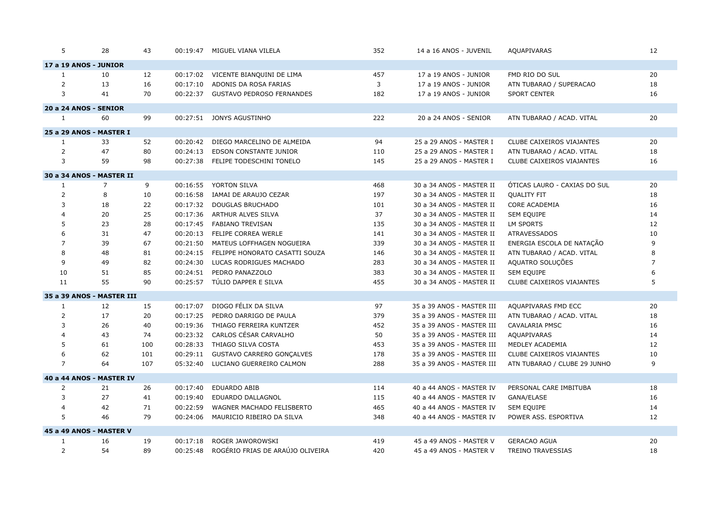| 5              | 28                        | 43  |          | 00:19:47 MIGUEL VIANA VILELA       | 352 | 14 a 16 ANOS - JUVENIL    | <b>AQUAPIVARAS</b>           | 12             |
|----------------|---------------------------|-----|----------|------------------------------------|-----|---------------------------|------------------------------|----------------|
|                | 17 a 19 ANOS - JUNIOR     |     |          |                                    |     |                           |                              |                |
| 1              | 10                        | 12  | 00:17:02 | VICENTE BIANQUINI DE LIMA          | 457 | 17 a 19 ANOS - JUNIOR     | FMD RIO DO SUL               | 20             |
| $\overline{2}$ | 13                        | 16  | 00:17:10 | ADONIS DA ROSA FARIAS              | 3   | 17 a 19 ANOS - JUNIOR     | ATN TUBARAO / SUPERACAO      | 18             |
| 3              | 41                        | 70  |          | 00:22:37 GUSTAVO PEDROSO FERNANDES | 182 | 17 a 19 ANOS - JUNIOR     | <b>SPORT CENTER</b>          | 16             |
|                | 20 a 24 ANOS - SENIOR     |     |          |                                    |     |                           |                              |                |
| $\mathbf{1}$   | 60                        | 99  |          | 00:27:51 JONYS AGUSTINHO           | 222 | 20 a 24 ANOS - SENIOR     | ATN TUBARAO / ACAD. VITAL    | 20             |
|                | 25 a 29 ANOS - MASTER I   |     |          |                                    |     |                           |                              |                |
| 1              | 33                        | 52  | 00:20:42 | DIEGO MARCELINO DE ALMEIDA         | 94  | 25 a 29 ANOS - MASTER I   | CLUBE CAIXEIROS VIAJANTES    | 20             |
| $\overline{2}$ | 47                        | 80  | 00:24:13 | EDSON CONSTANTE JUNIOR             | 110 | 25 a 29 ANOS - MASTER I   | ATN TUBARAO / ACAD. VITAL    | 18             |
| 3              | 59                        | 98  |          | 00:27:38 FELIPE TODESCHINI TONELO  | 145 | 25 a 29 ANOS - MASTER I   | CLUBE CAIXEIROS VIAJANTES    | 16             |
|                | 30 a 34 ANOS - MASTER II  |     |          |                                    |     |                           |                              |                |
| 1              | $\overline{7}$            | 9   | 00:16:55 | YORTON SILVA                       | 468 | 30 a 34 ANOS - MASTER II  | ÓTICAS LAURO - CAXIAS DO SUL | 20             |
| $\overline{2}$ | 8                         | 10  | 00:16:58 | IAMAI DE ARAUJO CEZAR              | 197 | 30 a 34 ANOS - MASTER II  | <b>QUALITY FIT</b>           | 18             |
| 3              | 18                        | 22  | 00:17:32 | <b>DOUGLAS BRUCHADO</b>            | 101 | 30 a 34 ANOS - MASTER II  | <b>CORE ACADEMIA</b>         | 16             |
| $\overline{4}$ | 20                        | 25  | 00:17:36 | ARTHUR ALVES SILVA                 | 37  | 30 a 34 ANOS - MASTER II  | <b>SEM EQUIPE</b>            | 14             |
| 5              | 23                        | 28  | 00:17:45 | FABIANO TREVISAN                   | 135 | 30 a 34 ANOS - MASTER II  | <b>LM SPORTS</b>             | 12             |
| 6              | 31                        | 47  |          | 00:20:13 FELIPE CORREA WERLE       | 141 | 30 a 34 ANOS - MASTER II  | <b>ATRAVESSADOS</b>          | 10             |
| $\overline{7}$ | 39                        | 67  | 00:21:50 | MATEUS LOFFHAGEN NOGUEIRA          | 339 | 30 a 34 ANOS - MASTER II  | ENERGIA ESCOLA DE NATAÇÃO    | 9              |
| 8              | 48                        | 81  | 00:24:15 | FELIPPE HONORATO CASATTI SOUZA     | 146 | 30 a 34 ANOS - MASTER II  | ATN TUBARAO / ACAD. VITAL    | 8              |
| 9              | 49                        | 82  | 00:24:30 | LUCAS RODRIGUES MACHADO            | 283 | 30 a 34 ANOS - MASTER II  | AQUATRO SOLUÇÕES             | $\overline{7}$ |
| 10             | 51                        | 85  | 00:24:51 | PEDRO PANAZZOLO                    | 383 | 30 a 34 ANOS - MASTER II  | <b>SEM EQUIPE</b>            | 6              |
| 11             | 55                        | 90  |          | 00:25:57 TÚLIO DAPPER E SILVA      | 455 | 30 a 34 ANOS - MASTER II  | CLUBE CAIXEIROS VIAJANTES    | 5              |
|                | 35 a 39 ANOS - MASTER III |     |          |                                    |     |                           |                              |                |
| 1              | 12                        | 15  | 00:17:07 | DIOGO FÉLIX DA SILVA               | 97  | 35 a 39 ANOS - MASTER III | AQUAPIVARAS FMD ECC          | 20             |
| $\overline{2}$ | 17                        | 20  | 00:17:25 | PEDRO DARRIGO DE PAULA             | 379 | 35 a 39 ANOS - MASTER III | ATN TUBARAO / ACAD. VITAL    | 18             |
| 3              | 26                        | 40  | 00:19:36 | THIAGO FERREIRA KUNTZER            | 452 | 35 a 39 ANOS - MASTER III | CAVALARIA PMSC               | 16             |
| $\overline{4}$ | 43                        | 74  | 00:23:32 | CARLOS CÉSAR CARVALHO              | 50  | 35 a 39 ANOS - MASTER III | AQUAPIVARAS                  | 14             |
| 5              | 61                        | 100 | 00:28:33 | THIAGO SILVA COSTA                 | 453 | 35 a 39 ANOS - MASTER III | MEDLEY ACADEMIA              | 12             |
| 6              | 62                        | 101 | 00:29:11 | GUSTAVO CARRERO GONÇALVES          | 178 | 35 a 39 ANOS - MASTER III | CLUBE CAIXEIROS VIAJANTES    | 10             |
| $\overline{7}$ | 64                        | 107 |          | 05:32:40 LUCIANO GUERREIRO CALMON  | 288 | 35 a 39 ANOS - MASTER III | ATN TUBARAO / CLUBE 29 JUNHO | 9              |
|                | 40 a 44 ANOS - MASTER IV  |     |          |                                    |     |                           |                              |                |
| 2              | 21                        | 26  | 00:17:40 | <b>EDUARDO ABIB</b>                | 114 | 40 a 44 ANOS - MASTER IV  | PERSONAL CARE IMBITUBA       | 18             |
| 3              | 27                        | 41  | 00:19:40 | EDUARDO DALLAGNOL                  | 115 | 40 a 44 ANOS - MASTER IV  | GANA/ELASE                   | 16             |
| 4              | 42                        | 71  | 00:22:59 | WAGNER MACHADO FELISBERTO          | 465 | 40 a 44 ANOS - MASTER IV  | SEM EQUIPE                   | 14             |
| 5              | 46                        | 79  | 00:24:06 | MAURICIO RIBEIRO DA SILVA          | 348 | 40 a 44 ANOS - MASTER IV  | POWER ASS. ESPORTIVA         | 12             |
|                | 45 a 49 ANOS - MASTER V   |     |          |                                    |     |                           |                              |                |
| 1              | 16                        | 19  | 00:17:18 | ROGER JAWOROWSKI                   | 419 | 45 a 49 ANOS - MASTER V   | <b>GERACAO AGUA</b>          | 20             |
| 2              | 54                        | 89  | 00:25:48 | ROGÉRIO FRIAS DE ARAÚJO OLIVEIRA   | 420 | 45 a 49 ANOS - MASTER V   | <b>TREINO TRAVESSIAS</b>     | 18             |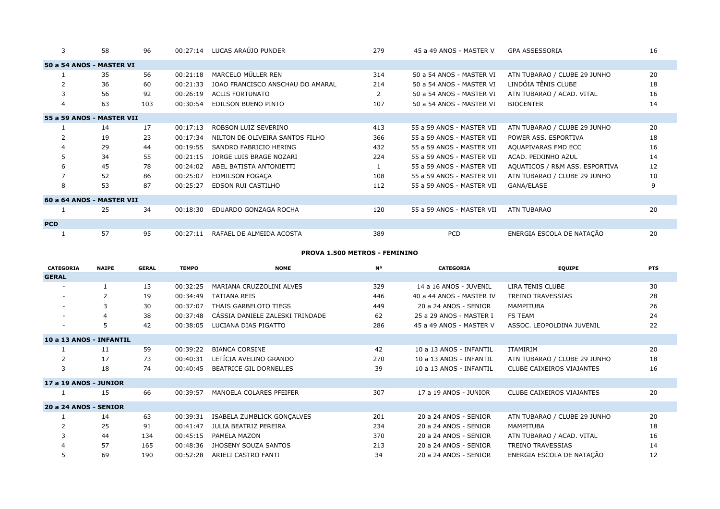| 3              | 58                        | 96  | 00:27:14 | LUCAS ARAÚJO PUNDER              | 279 | 45 a 49 ANOS - MASTER V   | <b>GPA ASSESSORIA</b>          | 16 |
|----------------|---------------------------|-----|----------|----------------------------------|-----|---------------------------|--------------------------------|----|
|                | 50 a 54 ANOS - MASTER VI  |     |          |                                  |     |                           |                                |    |
|                | 35                        | 56  | 00:21:18 | MARCELO MÜLLER REN               | 314 | 50 a 54 ANOS - MASTER VI  | ATN TUBARAO / CLUBE 29 JUNHO   | 20 |
| $\overline{2}$ | 36                        | 60  | 00:21:33 | JOAO FRANCISCO ANSCHAU DO AMARAL | 214 | 50 a 54 ANOS - MASTER VI  | LINDÓIA TÊNIS CLUBE            | 18 |
| 3              | 56                        | 92  | 00:26:19 | <b>ACLIS FORTUNATO</b>           |     | 50 a 54 ANOS - MASTER VI  | ATN TUBARAO / ACAD. VITAL      | 16 |
| 4              | 63                        | 103 | 00:30:54 | EDILSON BUENO PINTO              | 107 | 50 a 54 ANOS - MASTER VI  | <b>BIOCENTER</b>               | 14 |
|                | 55 a 59 ANOS - MASTER VII |     |          |                                  |     |                           |                                |    |
|                | 14                        | 17  | 00:17:13 | ROBSON LUIZ SEVERINO             | 413 | 55 a 59 ANOS - MASTER VII | ATN TUBARAO / CLUBE 29 JUNHO   | 20 |
|                | 19                        | 23  | 00:17:34 | NILTON DE OLIVEIRA SANTOS FILHO  | 366 | 55 a 59 ANOS - MASTER VII | POWER ASS, ESPORTIVA           | 18 |
| $\overline{a}$ | 29                        | 44  | 00:19:55 | SANDRO FABRICIO HERING           | 432 | 55 a 59 ANOS - MASTER VII | AQUAPIVARAS FMD ECC            | 16 |
|                | 34                        | 55  | 00:21:15 | JORGE LUIS BRAGE NOZARI          | 224 | 55 a 59 ANOS - MASTER VII | ACAD. PEIXINHO AZUL            | 14 |
| 6              | 45                        | 78  | 00:24:02 | ABEL BATISTA ANTONIETTI          |     | 55 a 59 ANOS - MASTER VII | AQUATICOS / R&M ASS. ESPORTIVA | 12 |
| $\overline{7}$ | 52                        | 86  | 00:25:07 | <b>EDMILSON FOGACA</b>           | 108 | 55 a 59 ANOS - MASTER VII | ATN TUBARAO / CLUBE 29 JUNHO   | 10 |
| 8              | 53                        | 87  | 00:25:27 | EDSON RUI CASTILHO               | 112 | 55 a 59 ANOS - MASTER VII | GANA/ELASE                     | 9  |
|                | 60 a 64 ANOS - MASTER VII |     |          |                                  |     |                           |                                |    |
|                | 25                        | 34  | 00:18:30 | EDUARDO GONZAGA ROCHA            | 120 | 55 a 59 ANOS - MASTER VII | ATN TUBARAO                    | 20 |
| <b>PCD</b>     |                           |     |          |                                  |     |                           |                                |    |
|                | 57                        | 95  | 00:27:11 | RAFAEL DE ALMEIDA ACOSTA         | 389 | PCD                       | ENERGIA ESCOLA DE NATAÇÃO      | 20 |

#### **PROVA 1.500 METROS - FEMININO**

| <b>CATEGORIA</b>             | <b>NAIPE</b> | <b>GERAL</b> | <b>TEMPO</b> | <b>NOME</b>                     | <b>N°</b> | <b>CATEGORIA</b>         | <b>EQUIPE</b>                | <b>PTS</b> |
|------------------------------|--------------|--------------|--------------|---------------------------------|-----------|--------------------------|------------------------------|------------|
| <b>GERAL</b>                 |              |              |              |                                 |           |                          |                              |            |
| $\overline{\phantom{a}}$     |              | 13           | 00:32:25     | MARIANA CRUZZOLINI ALVES        | 329       | 14 a 16 ANOS - JUVENIL   | LIRA TENIS CLUBE             | 30         |
|                              |              | 19           | 00:34:49     | <b>TATIANA REIS</b>             | 446       | 40 a 44 ANOS - MASTER IV | <b>TREINO TRAVESSIAS</b>     | 28         |
|                              |              | 30           | 00:37:07     | THAIS GARBELOTO TIEGS           | 449       | 20 a 24 ANOS - SENIOR    | MAMPITUBA                    | 26         |
| $\sim$                       |              | 38           | 00:37:48     | CÁSSIA DANIELE ZALESKI TRINDADE | 62        | 25 a 29 ANOS - MASTER I  | <b>FS TEAM</b>               | 24         |
| $\sim$                       | 5            | 42           | 00:38:05     | LUCIANA DIAS PIGATTO            | 286       | 45 a 49 ANOS - MASTER V  | ASSOC. LEOPOLDINA JUVENIL    | 22         |
| 10 a 13 ANOS - INFANTIL      |              |              |              |                                 |           |                          |                              |            |
|                              | 11           | 59           | 00:39:22     | <b>BIANCA CORSINE</b>           | 42        | 10 a 13 ANOS - INFANTIL  | <b>ITAMIRIM</b>              | 20         |
| 2                            | 17           | 73           | 00:40:31     | LETÍCIA AVELINO GRANDO          | 270       | 10 a 13 ANOS - INFANTIL  | ATN TUBARAO / CLUBE 29 JUNHO | 18         |
| 3                            | 18           | 74           | 00:40:45     | BEATRICE GIL DORNELLES          | 39        | 10 a 13 ANOS - INFANTIL  | CLUBE CAIXEIROS VIAJANTES    | 16         |
| <b>17 a 19 ANOS - JUNIOR</b> |              |              |              |                                 |           |                          |                              |            |
|                              | 15           | 66           | 00:39:57     | MANOELA COLARES PFEIFER         | 307       | 17 a 19 ANOS - JUNIOR    | CLUBE CAIXEIROS VIAJANTES    | 20         |
| 20 a 24 ANOS - SENIOR        |              |              |              |                                 |           |                          |                              |            |
|                              | 14           | 63           | 00:39:31     | ISABELA ZUMBLICK GONCALVES      | 201       | 20 a 24 ANOS - SENIOR    | ATN TUBARAO / CLUBE 29 JUNHO | 20         |
| $\overline{2}$               | 25           | 91           | 00:41:47     | JULIA BEATRIZ PEREIRA           | 234       | 20 a 24 ANOS - SENIOR    | MAMPITUBA                    | 18         |
|                              | 44           | 134          | 00:45:15     | PAMELA MAZON                    | 370       | 20 a 24 ANOS - SENIOR    | ATN TUBARAO / ACAD. VITAL    | 16         |
|                              | 57           | 165          | 00:48:36     | JHOSENY SOUZA SANTOS            | 213       | 20 a 24 ANOS - SENIOR    | TREINO TRAVESSIAS            | 14         |
| 5                            | 69           | 190          | 00:52:28     | ARIELI CASTRO FANTI             | 34        | 20 a 24 ANOS - SENIOR    | ENERGIA ESCOLA DE NATAÇÃO    | 12         |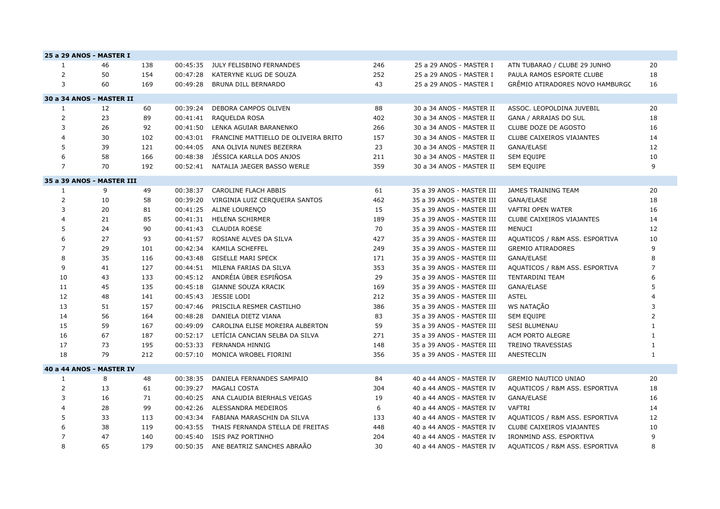|                | 25 a 29 ANOS - MASTER I   |     |          |                                      |     |                           |                                 |                |
|----------------|---------------------------|-----|----------|--------------------------------------|-----|---------------------------|---------------------------------|----------------|
| $\mathbf{1}$   | 46                        | 138 | 00:45:35 | JULY FELISBINO FERNANDES             | 246 | 25 a 29 ANOS - MASTER I   | ATN TUBARAO / CLUBE 29 JUNHO    | 20             |
| 2              | 50                        | 154 | 00:47:28 | KATERYNE KLUG DE SOUZA               | 252 | 25 a 29 ANOS - MASTER I   | PAULA RAMOS ESPORTE CLUBE       | 18             |
| 3              | 60                        | 169 | 00:49:28 | BRUNA DILL BERNARDO                  | 43  | 25 a 29 ANOS - MASTER I   | GRÊMIO ATIRADORES NOVO HAMBURGC | 16             |
|                | 30 a 34 ANOS - MASTER II  |     |          |                                      |     |                           |                                 |                |
| $\mathbf{1}$   | 12                        | 60  | 00:39:24 | DEBORA CAMPOS OLIVEN                 | 88  | 30 a 34 ANOS - MASTER II  | ASSOC. LEOPOLDINA JUVEBIL       | 20             |
| 2              | 23                        | 89  | 00:41:41 | RAQUELDA ROSA                        | 402 | 30 a 34 ANOS - MASTER II  | GANA / ARRAIAS DO SUL           | 18             |
| 3              | 26                        | 92  | 00:41:50 | LENKA AGUIAR BARANENKO               | 266 | 30 a 34 ANOS - MASTER II  | CLUBE DOZE DE AGOSTO            | 16             |
| $\overline{4}$ | 30                        | 102 | 00:43:01 | FRANCINE MATTIELLO DE OLIVEIRA BRITO | 157 | 30 a 34 ANOS - MASTER II  | CLUBE CAIXEIROS VIAJANTES       | 14             |
| 5              | 39                        | 121 | 00:44:05 | ANA OLIVIA NUNES BEZERRA             | 23  | 30 a 34 ANOS - MASTER II  | GANA/ELASE                      | 12             |
| 6              | 58                        | 166 | 00:48:38 | JÉSSICA KARLLA DOS ANJOS             | 211 | 30 a 34 ANOS - MASTER II  | <b>SEM EQUIPE</b>               | 10             |
| $\overline{7}$ | 70                        | 192 | 00:52:41 | NATALIA JAEGER BASSO WERLE           | 359 | 30 a 34 ANOS - MASTER II  | <b>SEM EQUIPE</b>               | 9              |
|                | 35 a 39 ANOS - MASTER III |     |          |                                      |     |                           |                                 |                |
| $\mathbf{1}$   | 9                         | 49  | 00:38:37 | <b>CAROLINE FLACH ABBIS</b>          | 61  | 35 a 39 ANOS - MASTER III | JAMES TRAINING TEAM             | 20             |
| 2              | 10                        | 58  | 00:39:20 | VIRGINIA LUIZ CERQUEIRA SANTOS       | 462 | 35 a 39 ANOS - MASTER III | GANA/ELASE                      | 18             |
| 3              | 20                        | 81  | 00:41:25 | ALINE LOURENÇO                       | 15  | 35 a 39 ANOS - MASTER III | VAFTRI OPEN WATER               | 16             |
| $\overline{4}$ | 21                        | 85  | 00:41:31 | <b>HELENA SCHIRMER</b>               | 189 | 35 a 39 ANOS - MASTER III | CLUBE CAIXEIROS VIAJANTES       | 14             |
| 5              | 24                        | 90  | 00:41:43 | <b>CLAUDIA ROESE</b>                 | 70  | 35 a 39 ANOS - MASTER III | MENUCI                          | 12             |
| 6              | 27                        | 93  | 00:41:57 | ROSIANE ALVES DA SILVA               | 427 | 35 a 39 ANOS - MASTER III | AQUATICOS / R&M ASS. ESPORTIVA  | 10             |
| $\overline{7}$ | 29                        | 101 | 00:42:34 | KAMILA SCHEFFEL                      | 249 | 35 a 39 ANOS - MASTER III | <b>GREMIO ATIRADORES</b>        | 9              |
| 8              | 35                        | 116 | 00:43:48 | <b>GISELLE MARI SPECK</b>            | 171 | 35 a 39 ANOS - MASTER III | GANA/ELASE                      | 8              |
| 9              | 41                        | 127 | 00:44:51 | MILENA FARIAS DA SILVA               | 353 | 35 a 39 ANOS - MASTER III | AQUATICOS / R&M ASS. ESPORTIVA  | $\overline{7}$ |
| 10             | 43                        | 133 | 00:45:12 | ANDRÉIA ÜBER ESPIÑOSA                | 29  | 35 a 39 ANOS - MASTER III | <b>TENTARDINI TEAM</b>          | 6              |
| 11             | 45                        | 135 | 00:45:18 | <b>GIANNE SOUZA KRACIK</b>           | 169 | 35 a 39 ANOS - MASTER III | GANA/ELASE                      | 5              |
| 12             | 48                        | 141 | 00:45:43 | JESSIE LODI                          | 212 | 35 a 39 ANOS - MASTER III | <b>ASTEL</b>                    | 4              |
| 13             | 51                        | 157 | 00:47:46 | PRISCILA RESMER CASTILHO             | 386 | 35 a 39 ANOS - MASTER III | <b>WS NATAÇÃO</b>               | 3              |
| 14             | 56                        | 164 | 00:48:28 | DANIELA DIETZ VIANA                  | 83  | 35 a 39 ANOS - MASTER III | <b>SEM EQUIPE</b>               | $\overline{2}$ |
| 15             | 59                        | 167 | 00:49:09 | CAROLINA ELISE MOREIRA ALBERTON      | 59  | 35 a 39 ANOS - MASTER III | <b>SESI BLUMENAU</b>            | 1              |
| 16             | 67                        | 187 | 00:52:17 | LETÍCIA CANCIAN SELBA DA SILVA       | 271 | 35 a 39 ANOS - MASTER III | ACM PORTO ALEGRE                | $\mathbf{1}$   |
| 17             | 73                        | 195 | 00:53:33 | <b>FERNANDA HINNIG</b>               | 148 | 35 a 39 ANOS - MASTER III | <b>TREINO TRAVESSIAS</b>        | 1              |
| 18             | 79                        | 212 |          | 00:57:10 MONICA WROBEL FIORINI       | 356 | 35 a 39 ANOS - MASTER III | ANESTECLIN                      | $\mathbf{1}$   |
|                | 40 a 44 ANOS - MASTER IV  |     |          |                                      |     |                           |                                 |                |
| 1              | 8                         | 48  | 00:38:35 | DANIELA FERNANDES SAMPAIO            | 84  | 40 a 44 ANOS - MASTER IV  | <b>GREMIO NAUTICO UNIAO</b>     | 20             |
| 2              | 13                        | 61  | 00:39:27 | MAGALI COSTA                         | 304 | 40 a 44 ANOS - MASTER IV  | AQUATICOS / R&M ASS. ESPORTIVA  | 18             |
| 3              | 16                        | 71  | 00:40:25 | ANA CLAUDIA BIERHALS VEIGAS          | 19  | 40 a 44 ANOS - MASTER IV  | GANA/ELASE                      | 16             |
| $\overline{4}$ | 28                        | 99  | 00:42:26 | ALESSANDRA MEDEIROS                  | 6   | 40 a 44 ANOS - MASTER IV  | <b>VAFTRI</b>                   | 14             |
| 5              | 33                        | 113 | 00:43:34 | FABIANA MARASCHIN DA SILVA           | 133 | 40 a 44 ANOS - MASTER IV  | AQUATICOS / R&M ASS. ESPORTIVA  | 12             |
| 6              | 38                        | 119 | 00:43:55 | THAIS FERNANDA STELLA DE FREITAS     | 448 | 40 a 44 ANOS - MASTER IV  | CLUBE CAIXEIROS VIAJANTES       | 10             |
| $\overline{7}$ | 47                        | 140 | 00:45:40 | ISIS PAZ PORTINHO                    | 204 | 40 a 44 ANOS - MASTER IV  | IRONMIND ASS. ESPORTIVA         | 9              |
| 8              | 65                        | 179 | 00:50:35 | ANE BEATRIZ SANCHES ABRAÃO           | 30  | 40 a 44 ANOS - MASTER IV  | AQUATICOS / R&M ASS. ESPORTIVA  | 8              |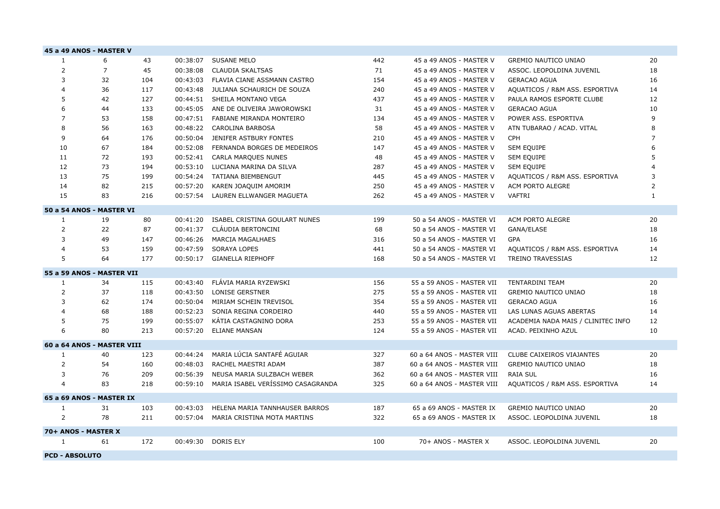|                | 45 a 49 ANOS - MASTER V    |     |          |                                   |     |                            |                                    |                |
|----------------|----------------------------|-----|----------|-----------------------------------|-----|----------------------------|------------------------------------|----------------|
| 1              | 6                          | 43  | 00:38:07 | SUSANE MELO                       | 442 | 45 a 49 ANOS - MASTER V    | <b>GREMIO NAUTICO UNIAO</b>        | 20             |
| $\overline{2}$ | $\overline{7}$             | 45  | 00:38:08 | CLAUDIA SKALTSAS                  | 71  | 45 a 49 ANOS - MASTER V    | ASSOC. LEOPOLDINA JUVENIL          | 18             |
| 3              | 32                         | 104 | 00:43:03 | FLAVIA CIANE ASSMANN CASTRO       | 154 | 45 a 49 ANOS - MASTER V    | <b>GERACAO AGUA</b>                | 16             |
| 4              | 36                         | 117 | 00:43:48 | JULIANA SCHAURICH DE SOUZA        | 240 | 45 a 49 ANOS - MASTER V    | AQUATICOS / R&M ASS. ESPORTIVA     | 14             |
| 5              | 42                         | 127 |          | 00:44:51 SHEILA MONTANO VEGA      | 437 | 45 a 49 ANOS - MASTER V    | PAULA RAMOS ESPORTE CLUBE          | 12             |
| 6              | 44                         | 133 | 00:45:05 | ANE DE OLIVEIRA JAWOROWSKI        | 31  | 45 a 49 ANOS - MASTER V    | <b>GERACAO AGUA</b>                | 10             |
| $\overline{7}$ | 53                         | 158 | 00:47:51 | FABIANE MIRANDA MONTEIRO          | 134 | 45 a 49 ANOS - MASTER V    | POWER ASS. ESPORTIVA               | 9              |
| 8              | 56                         | 163 |          | 00:48:22 CAROLINA BARBOSA         | 58  | 45 a 49 ANOS - MASTER V    | ATN TUBARAO / ACAD. VITAL          | 8              |
| 9              | 64                         | 176 | 00:50:04 | JENIFER ASTBURY FONTES            | 210 | 45 a 49 ANOS - MASTER V    | <b>CPH</b>                         | $\overline{7}$ |
| 10             | 67                         | 184 | 00:52:08 | FERNANDA BORGES DE MEDEIROS       | 147 | 45 a 49 ANOS - MASTER V    | <b>SEM EQUIPE</b>                  | 6              |
| 11             | 72                         | 193 | 00:52:41 | <b>CARLA MARQUES NUNES</b>        | 48  | 45 a 49 ANOS - MASTER V    | <b>SEM EQUIPE</b>                  | 5              |
| 12             | 73                         | 194 | 00:53:10 | LUCIANA MARINA DA SILVA           | 287 | 45 a 49 ANOS - MASTER V    | SEM EQUIPE                         |                |
| 13             | 75                         | 199 | 00:54:24 | TATIANA BIEMBENGUT                | 445 | 45 a 49 ANOS - MASTER V    | AQUATICOS / R&M ASS. ESPORTIVA     | 3              |
| 14             | 82                         | 215 | 00:57:20 | KAREN JOAQUIM AMORIM              | 250 | 45 a 49 ANOS - MASTER V    | ACM PORTO ALEGRE                   | 2              |
| 15             | 83                         | 216 | 00:57:54 | LAUREN ELLWANGER MAGUETA          | 262 | 45 a 49 ANOS - MASTER V    | VAFTRI                             | $\mathbf{1}$   |
|                | 50 a 54 ANOS - MASTER VI   |     |          |                                   |     |                            |                                    |                |
| 1              | 19                         | 80  | 00:41:20 | ISABEL CRISTINA GOULART NUNES     | 199 | 50 a 54 ANOS - MASTER VI   | ACM PORTO ALEGRE                   | 20             |
| $\overline{2}$ | 22                         | 87  | 00:41:37 | CLÁUDIA BERTONCINI                | 68  | 50 a 54 ANOS - MASTER VI   | GANA/ELASE                         | 18             |
| 3              | 49                         | 147 | 00:46:26 | <b>MARCIA MAGALHAES</b>           | 316 | 50 a 54 ANOS - MASTER VI   | <b>GPA</b>                         | 16             |
| 4              | 53                         | 159 | 00:47:59 | <b>SORAYA LOPES</b>               | 441 | 50 a 54 ANOS - MASTER VI   | AQUATICOS / R&M ASS. ESPORTIVA     | 14             |
| 5              | 64                         | 177 |          | 00:50:17 GIANELLA RIEPHOFF        | 168 | 50 a 54 ANOS - MASTER VI   | <b>TREINO TRAVESSIAS</b>           | 12             |
|                | 55 a 59 ANOS - MASTER VII  |     |          |                                   |     |                            |                                    |                |
| 1              | 34                         | 115 | 00:43:40 | FLÁVIA MARIA RYZEWSKI             | 156 | 55 a 59 ANOS - MASTER VII  | TENTARDINI TEAM                    | 20             |
| 2              | 37                         | 118 | 00:43:50 | <b>LONISE GERSTNER</b>            | 275 | 55 a 59 ANOS - MASTER VII  | <b>GREMIO NAUTICO UNIAO</b>        | 18             |
| 3              | 62                         | 174 | 00:50:04 | MIRIAM SCHEIN TREVISOL            | 354 | 55 a 59 ANOS - MASTER VII  | <b>GERACAO AGUA</b>                | 16             |
| 4              | 68                         | 188 | 00:52:23 | SONIA REGINA CORDEIRO             | 440 | 55 a 59 ANOS - MASTER VII  | LAS LUNAS AGUAS ABERTAS            | 14             |
| 5              | 75                         | 199 | 00:55:07 | KÁTIA CASTAGNINO DORA             | 253 | 55 a 59 ANOS - MASTER VII  | ACADEMIA NADA MAIS / CLINITEC INFO | 12             |
| 6              | 80                         | 213 | 00:57:20 | <b>ELIANE MANSAN</b>              | 124 | 55 a 59 ANOS - MASTER VII  | ACAD. PEIXINHO AZUL                | 10             |
|                | 60 a 64 ANOS - MASTER VIII |     |          |                                   |     |                            |                                    |                |
| 1              | 40                         | 123 | 00:44:24 | MARIA LÚCIA SANTAFÉ AGUIAR        | 327 | 60 a 64 ANOS - MASTER VIII | CLUBE CAIXEIROS VIAJANTES          | 20             |
| 2              | 54                         | 160 | 00:48:03 | RACHEL MAESTRI ADAM               | 387 | 60 a 64 ANOS - MASTER VIII | <b>GREMIO NAUTICO UNIAO</b>        | 18             |
| 3              | 76                         | 209 | 00:56:39 | NEUSA MARIA SULZBACH WEBER        | 362 | 60 a 64 ANOS - MASTER VIII | <b>RAIA SUL</b>                    | 16             |
| 4              | 83                         | 218 | 00:59:10 | MARIA ISABEL VERÍSSIMO CASAGRANDA | 325 | 60 a 64 ANOS - MASTER VIII | AQUATICOS / R&M ASS. ESPORTIVA     | 14             |
|                | 65 a 69 ANOS - MASTER IX   |     |          |                                   |     |                            |                                    |                |
| 1              | 31                         | 103 | 00:43:03 | HELENA MARIA TANNHAUSER BARROS    | 187 | 65 a 69 ANOS - MASTER IX   | <b>GREMIO NAUTICO UNIAO</b>        | 20             |
| 2              | 78                         | 211 | 00:57:04 | MARIA CRISTINA MOTA MARTINS       | 322 | 65 a 69 ANOS - MASTER IX   | ASSOC. LEOPOLDINA JUVENIL          | 18             |
|                | 70+ ANOS - MASTER X        |     |          |                                   |     |                            |                                    |                |
| 1              | 61                         | 172 | 00:49:30 | <b>DORIS ELY</b>                  | 100 | 70+ ANOS - MASTER X        | ASSOC. LEOPOLDINA JUVENIL          | 20             |
|                | <b>PCD - ABSOLUTO</b>      |     |          |                                   |     |                            |                                    |                |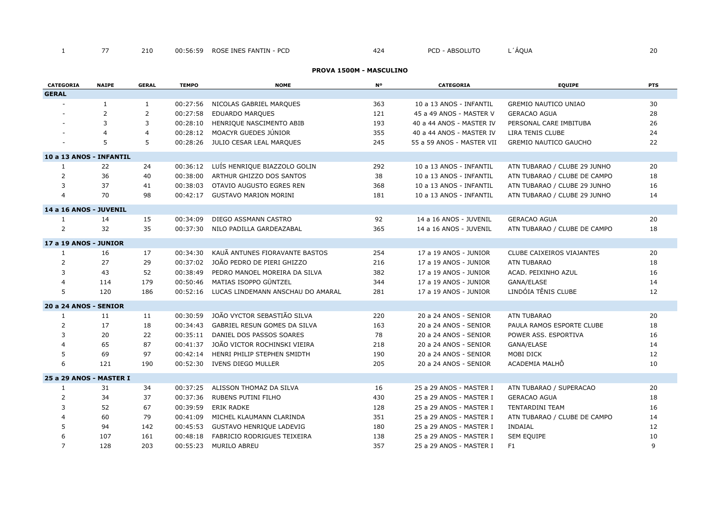# **PROVA 1500M - MASCULINO**

| CATEGORIA               | <b>NAIPE</b>   | <b>GERAL</b> | <b>TEMPO</b> | <b>NOME</b>                       | <b>N°</b> | <b>CATEGORIA</b>          | <b>EQUIPE</b>                | <b>PTS</b> |
|-------------------------|----------------|--------------|--------------|-----------------------------------|-----------|---------------------------|------------------------------|------------|
| <b>GERAL</b>            |                |              |              |                                   |           |                           |                              |            |
|                         | $\mathbf{1}$   | 1            | 00:27:56     | NICOLAS GABRIEL MARQUES           | 363       | 10 a 13 ANOS - INFANTIL   | <b>GREMIO NAUTICO UNIAO</b>  | 30         |
|                         | 2              | 2            | 00:27:58     | <b>EDUARDO MARQUES</b>            | 121       | 45 a 49 ANOS - MASTER V   | <b>GERACAO AGUA</b>          | 28         |
|                         | 3              | 3            | 00:28:10     | HENRIQUE NASCIMENTO ABIB          | 193       | 40 a 44 ANOS - MASTER IV  | PERSONAL CARE IMBITUBA       | 26         |
|                         | $\overline{4}$ | 4            | 00:28:12     | MOACYR GUEDES JÚNIOR              | 355       | 40 a 44 ANOS - MASTER IV  | LIRA TENIS CLUBE             | 24         |
|                         | 5              | 5            |              | 00:28:26 JULIO CESAR LEAL MARQUES | 245       | 55 a 59 ANOS - MASTER VII | <b>GREMIO NAUTICO GAUCHO</b> | 22         |
| 10 a 13 ANOS - INFANTIL |                |              |              |                                   |           |                           |                              |            |
| 1                       | 22             | 24           | 00:36:12     | LUÍS HENRIQUE BIAZZOLO GOLIN      | 292       | 10 a 13 ANOS - INFANTIL   | ATN TUBARAO / CLUBE 29 JUNHO | 20         |
| $\overline{2}$          | 36             | 40           | 00:38:00     | ARTHUR GHIZZO DOS SANTOS          | 38        | 10 a 13 ANOS - INFANTIL   | ATN TUBARAO / CLUBE DE CAMPO | 18         |
| 3                       | 37             | 41           | 00:38:03     | OTAVIO AUGUSTO EGRES REN          | 368       | 10 a 13 ANOS - INFANTIL   | ATN TUBARAO / CLUBE 29 JUNHO | 16         |
| $\overline{4}$          | 70             | 98           | 00:42:17     | <b>GUSTAVO MARION MORINI</b>      | 181       | 10 a 13 ANOS - INFANTIL   | ATN TUBARAO / CLUBE 29 JUNHO | 14         |
| 14 a 16 ANOS - JUVENIL  |                |              |              |                                   |           |                           |                              |            |
| 1                       | 14             | 15           | 00:34:09     | DIEGO ASSMANN CASTRO              | 92        | 14 a 16 ANOS - JUVENIL    | <b>GERACAO AGUA</b>          | 20         |
| 2                       | 32             | 35           | 00:37:30     | NILO PADILLA GARDEAZABAL          | 365       | 14 a 16 ANOS - JUVENIL    | ATN TUBARAO / CLUBE DE CAMPO | 18         |
| 17 a 19 ANOS - JUNIOR   |                |              |              |                                   |           |                           |                              |            |
| $\mathbf{1}$            | 16             | 17           | 00:34:30     | KAUÃ ANTUNES FIORAVANTE BASTOS    | 254       | 17 a 19 ANOS - JUNIOR     | CLUBE CAIXEIROS VIAJANTES    | 20         |
| $\overline{2}$          | 27             | 29           | 00:37:02     | JOÃO PEDRO DE PIERI GHIZZO        | 216       | 17 a 19 ANOS - JUNIOR     | <b>ATN TUBARAO</b>           | 18         |
| 3                       | 43             | 52           | 00:38:49     | PEDRO MANOEL MOREIRA DA SILVA     | 382       | 17 a 19 ANOS - JUNIOR     | ACAD. PEIXINHO AZUL          | 16         |
| $\overline{4}$          | 114            | 179          | 00:50:46     | MATIAS ISOPPO GÜNTZEL             | 344       | 17 a 19 ANOS - JUNIOR     | GANA/ELASE                   | 14         |
| 5                       | 120            | 186          | 00:52:16     | LUCAS LINDEMANN ANSCHAU DO AMARAL | 281       | 17 a 19 ANOS - JUNIOR     | LINDÓIA TÊNIS CLUBE          | 12         |
| 20 a 24 ANOS - SENIOR   |                |              |              |                                   |           |                           |                              |            |
| 1                       | 11             | 11           | 00:30:59     | JOÃO VYCTOR SEBASTIÃO SILVA       | 220       | 20 a 24 ANOS - SENIOR     | <b>ATN TUBARAO</b>           | 20         |
| 2                       | 17             | 18           | 00:34:43     | GABRIEL RESUN GOMES DA SILVA      | 163       | 20 a 24 ANOS - SENIOR     | PAULA RAMOS ESPORTE CLUBE    | 18         |
| 3                       | 20             | 22           | 00:35:11     | DANIEL DOS PASSOS SOARES          | 78        | 20 a 24 ANOS - SENIOR     | POWER ASS. ESPORTIVA         | 16         |
| $\overline{4}$          | 65             | 87           | 00:41:37     | JOÃO VICTOR ROCHINSKI VIEIRA      | 218       | 20 a 24 ANOS - SENIOR     | GANA/ELASE                   | 14         |
| 5                       | 69             | 97           | 00:42:14     | HENRI PHILIP STEPHEN SMIDTH       | 190       | 20 a 24 ANOS - SENIOR     | MOBI DICK                    | 12         |
| 6                       | 121            | 190          | 00:52:30     | IVENS DIEGO MULLER                | 205       | 20 a 24 ANOS - SENIOR     | ACADEMIA MALHÔ               | 10         |
| 25 a 29 ANOS - MASTER I |                |              |              |                                   |           |                           |                              |            |
| 1                       | 31             | 34           | 00:37:25     | ALISSON THOMAZ DA SILVA           | 16        | 25 a 29 ANOS - MASTER I   | ATN TUBARAO / SUPERACAO      | 20         |
| $\overline{2}$          | 34             | 37           | 00:37:36     | RUBENS PUTINI FILHO               | 430       | 25 a 29 ANOS - MASTER I   | <b>GERACAO AGUA</b>          | 18         |
| 3                       | 52             | 67           | 00:39:59     | <b>ERIK RADKE</b>                 | 128       | 25 a 29 ANOS - MASTER I   | TENTARDINI TEAM              | 16         |
| $\overline{4}$          | 60             | 79           | 00:41:09     | MICHEL KLAUMANN CLARINDA          | 351       | 25 a 29 ANOS - MASTER I   | ATN TUBARAO / CLUBE DE CAMPO | 14         |
| 5                       | 94             | 142          | 00:45:53     | GUSTAVO HENRIQUE LADEVIG          | 180       | 25 a 29 ANOS - MASTER I   | <b>INDAIAL</b>               | 12         |
| 6                       | 107            | 161          | 00:48:18     | FABRICIO RODRIGUES TEIXEIRA       | 138       | 25 a 29 ANOS - MASTER I   | SEM EQUIPE                   | 10         |
| $\overline{7}$          | 128            | 203          | 00:55:23     | MURILO ABREU                      | 357       | 25 a 29 ANOS - MASTER I   | F <sub>1</sub>               | 9          |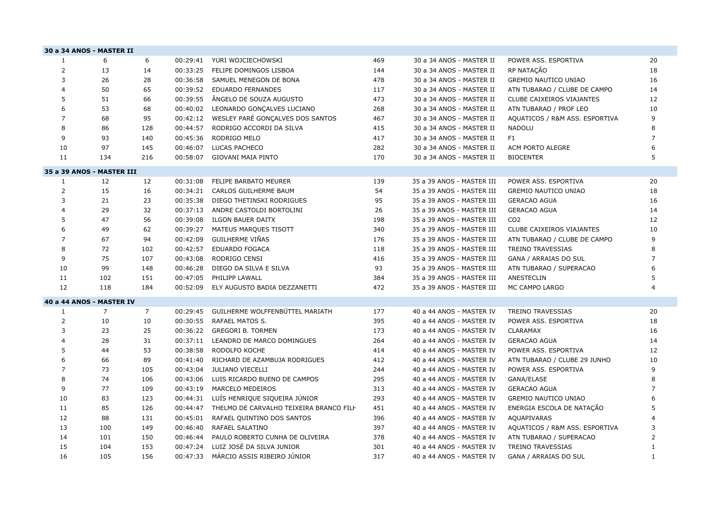|                | 30 a 34 ANOS - MASTER II  |                |          |                                          |     |                           |                                |                |
|----------------|---------------------------|----------------|----------|------------------------------------------|-----|---------------------------|--------------------------------|----------------|
| 1              | 6                         | 6              | 00:29:41 | YURI WOJCIECHOWSKI                       | 469 | 30 a 34 ANOS - MASTER II  | POWER ASS. ESPORTIVA           | 20             |
| $\overline{2}$ | 13                        | 14             | 00:33:25 | FELIPE DOMINGOS LISBOA                   | 144 | 30 a 34 ANOS - MASTER II  | RP NATAÇÃO                     | 18             |
| 3              | 26                        | 28             | 00:36:58 | SAMUEL MENEGON DE BONA                   | 478 | 30 a 34 ANOS - MASTER II  | <b>GREMIO NAUTICO UNIAO</b>    | 16             |
| $\overline{4}$ | 50                        | 65             | 00:39:52 | <b>EDUARDO FERNANDES</b>                 | 117 | 30 a 34 ANOS - MASTER II  | ATN TUBARAO / CLUBE DE CAMPO   | 14             |
| 5              | 51                        | 66             | 00:39:55 | ÂNGELO DE SOUZA AUGUSTO                  | 473 | 30 a 34 ANOS - MASTER II  | CLUBE CAIXEIROS VIAJANTES      | 12             |
| 6              | 53                        | 68             | 00:40:02 | LEONARDO GONÇALVES LUCIANO               | 268 | 30 a 34 ANOS - MASTER II  | ATN TUBARAO / PROF LEO         | 10             |
| $\overline{7}$ | 68                        | 95             | 00:42:12 | WESLEY PARÉ GONÇALVES DOS SANTOS         | 467 | 30 a 34 ANOS - MASTER II  | AQUATICOS / R&M ASS. ESPORTIVA | 9              |
| 8              | 86                        | 128            | 00:44:57 | RODRIGO ACCORDI DA SILVA                 | 415 | 30 a 34 ANOS - MASTER II  | <b>NADOLU</b>                  | 8              |
| 9              | 93                        | 140            | 00:45:36 | RODRIGO MELO                             | 417 | 30 a 34 ANOS - MASTER II  | F <sub>1</sub>                 | 7              |
| 10             | 97                        | 145            | 00:46:07 | LUCAS PACHECO                            | 282 | 30 a 34 ANOS - MASTER II  | ACM PORTO ALEGRE               | 6              |
| 11             | 134                       | 216            | 00:58:07 | <b>GIOVANI MAIA PINTO</b>                | 170 | 30 a 34 ANOS - MASTER II  | <b>BIOCENTER</b>               | 5              |
|                | 35 a 39 ANOS - MASTER III |                |          |                                          |     |                           |                                |                |
| $\mathbf{1}$   | 12                        | 12             | 00:31:08 | FELIPE BARBATO MEURER                    | 139 | 35 a 39 ANOS - MASTER III | POWER ASS. ESPORTIVA           | 20             |
| 2              | 15                        | 16             | 00:34:21 | CARLOS GUILHERME BAUM                    | 54  | 35 a 39 ANOS - MASTER III | <b>GREMIO NAUTICO UNIAO</b>    | 18             |
| 3              | 21                        | 23             | 00:35:38 | DIEGO THETINSKI RODRIGUES                | 95  | 35 a 39 ANOS - MASTER III | <b>GERACAO AGUA</b>            | 16             |
| $\overline{4}$ | 29                        | 32             | 00:37:13 | ANDRE CASTOLDI BORTOLINI                 | 26  | 35 a 39 ANOS - MASTER III | <b>GERACAO AGUA</b>            | 14             |
| 5              | 47                        | 56             | 00:39:08 | <b>ILGON BAUER DAITX</b>                 | 198 | 35 a 39 ANOS - MASTER III | CO <sub>2</sub>                | 12             |
| 6              | 49                        | 62             | 00:39:27 | MATEUS MARQUES TISOTT                    | 340 | 35 a 39 ANOS - MASTER III | CLUBE CAIXEIROS VIAJANTES      | 10             |
| $\overline{7}$ | 67                        | 94             | 00:42:09 | GUILHERME VIÑAS                          | 176 | 35 a 39 ANOS - MASTER III | ATN TUBARAO / CLUBE DE CAMPO   | 9              |
| 8              | 72                        | 102            | 00:42:57 | <b>EDUARDO FOGACA</b>                    | 118 | 35 a 39 ANOS - MASTER III | <b>TREINO TRAVESSIAS</b>       | 8              |
| 9              | 75                        | 107            | 00:43:08 | RODRIGO CENSI                            | 416 | 35 a 39 ANOS - MASTER III | GANA / ARRAIAS DO SUL          | $\overline{7}$ |
| 10             | 99                        | 148            | 00:46:28 | DIEGO DA SILVA E SILVA                   | 93  | 35 a 39 ANOS - MASTER III | ATN TUBARAO / SUPERACAO        | 6              |
| 11             | 102                       | 151            | 00:47:05 | PHILIPP LAWALL                           | 384 | 35 a 39 ANOS - MASTER III | ANESTECLIN                     | 5              |
| 12             | 118                       | 184            | 00:52:09 | ELY AUGUSTO BADIA DEZZANETTI             | 472 | 35 a 39 ANOS - MASTER III | MC CAMPO LARGO                 | 4              |
|                | 40 a 44 ANOS - MASTER IV  |                |          |                                          |     |                           |                                |                |
| $\mathbf{1}$   | $\overline{7}$            | $\overline{7}$ | 00:29:45 | GUILHERME WOLFFENBÜTTEL MARIATH          | 177 | 40 a 44 ANOS - MASTER IV  | <b>TREINO TRAVESSIAS</b>       | 20             |
| 2              | 10                        | 10             | 00:30:55 | <b>RAFAEL MATOS S.</b>                   | 395 | 40 a 44 ANOS - MASTER IV  | POWER ASS, ESPORTIVA           | 18             |
| 3              | 23                        | 25             | 00:36:22 | <b>GREGORI B. TORMEN</b>                 | 173 | 40 a 44 ANOS - MASTER IV  | <b>CLARAMAX</b>                | 16             |
| 4              | 28                        | 31             | 00:37:11 | LEANDRO DE MARCO DOMINGUES               | 264 | 40 a 44 ANOS - MASTER IV  | <b>GERACAO AGUA</b>            | 14             |
| 5              | 44                        | 53             | 00:38:58 | RODOLFO KOCHE                            | 414 | 40 a 44 ANOS - MASTER IV  | POWER ASS. ESPORTIVA           | 12             |
| 6              | 66                        | 89             | 00:41:40 | RICHARD DE AZAMBUJA RODRIGUES            | 412 | 40 a 44 ANOS - MASTER IV  | ATN TUBARAO / CLUBE 29 JUNHO   | 10             |
| $\overline{7}$ | 73                        | 105            | 00:43:04 | <b>JULIANO VIECELLI</b>                  | 244 | 40 a 44 ANOS - MASTER IV  | POWER ASS. ESPORTIVA           | 9              |
| 8              | 74                        | 106            | 00:43:06 | LUIS RICARDO BUENO DE CAMPOS             | 295 | 40 a 44 ANOS - MASTER IV  | GANA/ELASE                     | 8              |
| 9              | 77                        | 109            | 00:43:19 | MARCELO MEDEIROS                         | 313 | 40 a 44 ANOS - MASTER IV  | <b>GERACAO AGUA</b>            | 7              |
| 10             | 83                        | 123            | 00:44:31 | LUÍS HENRIQUE SIQUEIRA JÚNIOR            | 293 | 40 a 44 ANOS - MASTER IV  | <b>GREMIO NAUTICO UNIAO</b>    | 6              |
| 11             | 85                        | 126            | 00:44:47 | THELMO DE CARVALHO TEIXEIRA BRANCO FILI- | 451 | 40 a 44 ANOS - MASTER IV  | ENERGIA ESCOLA DE NATAÇÃO      | 5              |
| 12             | 88                        | 131            | 00:45:01 | RAFAEL QUINTINO DOS SANTOS               | 396 | 40 a 44 ANOS - MASTER IV  | AQUAPIVARAS                    |                |
| 13             | 100                       | 149            | 00:46:40 | RAFAEL SALATINO                          | 397 | 40 a 44 ANOS - MASTER IV  | AQUATICOS / R&M ASS. ESPORTIVA | 3              |
| 14             | 101                       | 150            | 00:46:44 | PAULO ROBERTO CUNHA DE OLIVEIRA          | 378 | 40 a 44 ANOS - MASTER IV  | ATN TUBARAO / SUPERACAO        | 2              |
| 15             | 104                       | 153            | 00:47:24 | LUIZ JOSÉ DA SILVA JUNIOR                | 301 | 40 a 44 ANOS - MASTER IV  | <b>TREINO TRAVESSIAS</b>       | $\mathbf{1}$   |
| 16             | 105                       | 156            | 00:47:33 | MÁRCIO ASSIS RIBEIRO JÚNIOR              | 317 | 40 a 44 ANOS - MASTER IV  | <b>GANA / ARRAIAS DO SUL</b>   | $\mathbf{1}$   |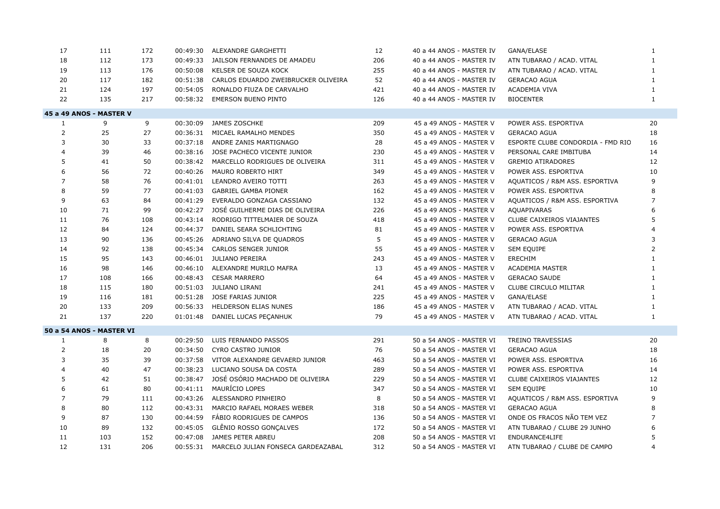| 17             | 111                      | 172 | 00:49:30 | ALEXANDRE GARGHETTI                         | 12  | 40 a 44 ANOS - MASTER IV | GANA/ELASE                        | $\mathbf{1}$   |
|----------------|--------------------------|-----|----------|---------------------------------------------|-----|--------------------------|-----------------------------------|----------------|
| 18             | 112                      | 173 | 00:49:33 | JAILSON FERNANDES DE AMADEU                 | 206 | 40 a 44 ANOS - MASTER IV | ATN TUBARAO / ACAD. VITAL         | $\mathbf{1}$   |
| 19             | 113                      | 176 | 00:50:08 | KELSER DE SOUZA KOCK                        | 255 | 40 a 44 ANOS - MASTER IV | ATN TUBARAO / ACAD. VITAL         | $\mathbf{1}$   |
| 20             | 117                      | 182 | 00:51:38 | CARLOS EDUARDO ZWEIBRUCKER OLIVEIRA         | 52  | 40 a 44 ANOS - MASTER IV | <b>GERACAO AGUA</b>               | $\mathbf{1}$   |
| 21             | 124                      | 197 | 00:54:05 | RONALDO FIUZA DE CARVALHO                   | 421 | 40 a 44 ANOS - MASTER IV | ACADEMIA VIVA                     | 1              |
| 22             | 135                      | 217 |          | 00:58:32 EMERSON BUENO PINTO                | 126 | 40 a 44 ANOS - MASTER IV | <b>BIOCENTER</b>                  | $\mathbf{1}$   |
|                | 45 a 49 ANOS - MASTER V  |     |          |                                             |     |                          |                                   |                |
| $\mathbf{1}$   | 9                        | 9   | 00:30:09 | JAMES ZOSCHKE                               | 209 | 45 a 49 ANOS - MASTER V  | POWER ASS. ESPORTIVA              | 20             |
| $\overline{2}$ | 25                       | 27  |          | 00:36:31 MICAEL RAMALHO MENDES              | 350 | 45 a 49 ANOS - MASTER V  | <b>GERACAO AGUA</b>               | 18             |
| 3              | 30                       | 33  | 00:37:18 | ANDRE ZANIS MARTIGNAGO                      | 28  | 45 a 49 ANOS - MASTER V  | ESPORTE CLUBE CONDORDIA - FMD RIO | 16             |
| 4              | 39                       | 46  |          | 00:38:16 JOSE PACHECO VICENTE JUNIOR        | 230 | 45 a 49 ANOS - MASTER V  | PERSONAL CARE IMBITUBA            | 14             |
| 5              | 41                       | 50  |          | 00:38:42 MARCELLO RODRIGUES DE OLIVEIRA     | 311 | 45 a 49 ANOS - MASTER V  | <b>GREMIO ATIRADORES</b>          | 12             |
| 6              | 56                       | 72  | 00:40:26 | MAURO ROBERTO HIRT                          | 349 | 45 a 49 ANOS - MASTER V  | POWER ASS. ESPORTIVA              | 10             |
| $\overline{7}$ | 58                       | 76  | 00:41:01 | LEANDRO AVEIRO TOTTI                        | 263 | 45 a 49 ANOS - MASTER V  | AQUATICOS / R&M ASS. ESPORTIVA    | 9              |
| 8              | 59                       | 77  | 00:41:03 | <b>GABRIEL GAMBA PIONER</b>                 | 162 | 45 a 49 ANOS - MASTER V  | POWER ASS. ESPORTIVA              | 8              |
| 9              | 63                       | 84  | 00:41:29 | EVERALDO GONZAGA CASSIANO                   | 132 | 45 a 49 ANOS - MASTER V  | AQUATICOS / R&M ASS. ESPORTIVA    | $\overline{7}$ |
| 10             | 71                       | 99  | 00:42:27 | JOSÉ GUILHERME DIAS DE OLIVEIRA             | 226 | 45 a 49 ANOS - MASTER V  | <b>AQUAPIVARAS</b>                | 6              |
| 11             | 76                       | 108 | 00:43:14 | RODRIGO TITTELMAIER DE SOUZA                | 418 | 45 a 49 ANOS - MASTER V  | CLUBE CAIXEIROS VIAJANTES         | 5              |
| 12             | 84                       | 124 | 00:44:37 | DANIEL SEARA SCHLICHTING                    | 81  | 45 a 49 ANOS - MASTER V  | POWER ASS, ESPORTIVA              |                |
| 13             | 90                       | 136 | 00:45:26 | ADRIANO SILVA DE QUADROS                    | 5   | 45 a 49 ANOS - MASTER V  | <b>GERACAO AGUA</b>               | 3              |
| 14             | 92                       | 138 | 00:45:34 | CARLOS SENGER JUNIOR                        | 55  | 45 a 49 ANOS - MASTER V  | <b>SEM EQUIPE</b>                 | 2              |
| 15             | 95                       | 143 |          | 00:46:01 JULIANO PEREIRA                    | 243 | 45 a 49 ANOS - MASTER V  | ERECHIM                           | $\mathbf{1}$   |
| 16             | 98                       | 146 | 00:46:10 | ALEXANDRE MURILO MAFRA                      | 13  | 45 a 49 ANOS - MASTER V  | <b>ACADEMIA MASTER</b>            | 1              |
| 17             | 108                      | 166 | 00:48:43 | <b>CESAR MARRERO</b>                        | 64  | 45 a 49 ANOS - MASTER V  | <b>GERACAO SAUDE</b>              | 1              |
| 18             | 115                      | 180 |          | 00:51:03 JULIANO LIRANI                     | 241 | 45 a 49 ANOS - MASTER V  | CLUBE CIRCULO MILITAR             | $\mathbf{1}$   |
| 19             | 116                      | 181 | 00:51:28 | JOSE FARIAS JUNIOR                          | 225 | 45 a 49 ANOS - MASTER V  | GANA/ELASE                        | $\mathbf{1}$   |
| 20             | 133                      | 209 | 00:56:33 | HELDERSON ELIAS NUNES                       | 186 | 45 a 49 ANOS - MASTER V  | ATN TUBARAO / ACAD. VITAL         | 1              |
| 21             | 137                      | 220 |          | 01:01:48 DANIEL LUCAS PECANHUK              | 79  | 45 a 49 ANOS - MASTER V  | ATN TUBARAO / ACAD. VITAL         | $\mathbf{1}$   |
|                | 50 a 54 ANOS - MASTER VI |     |          |                                             |     |                          |                                   |                |
| 1              | 8                        | 8   | 00:29:50 | LUIS FERNANDO PASSOS                        | 291 | 50 a 54 ANOS - MASTER VI | <b>TREINO TRAVESSIAS</b>          | 20             |
| 2              | 18                       | 20  | 00:34:50 | CYRO CASTRO JUNIOR                          | 76  | 50 a 54 ANOS - MASTER VI | <b>GERACAO AGUA</b>               | 18             |
| 3              | 35                       | 39  | 00:37:58 | VITOR ALEXANDRE GEVAERD JUNIOR              | 463 | 50 a 54 ANOS - MASTER VI | POWER ASS. ESPORTIVA              | 16             |
| $\overline{4}$ | 40                       | 47  | 00:38:23 | LUCIANO SOUSA DA COSTA                      | 289 | 50 a 54 ANOS - MASTER VI | POWER ASS, ESPORTIVA              | 14             |
| 5              | 42                       | 51  | 00:38:47 | JOSÉ OSÓRIO MACHADO DE OLIVEIRA             | 229 | 50 a 54 ANOS - MASTER VI | <b>CLUBE CAIXEIROS VIAJANTES</b>  | 12             |
| 6              | 61                       | 80  |          | 00:41:11 MAURÍCIO LOPES                     | 347 | 50 a 54 ANOS - MASTER VI | SEM EQUIPE                        | 10             |
| 7              | 79                       | 111 | 00:43:26 | ALESSANDRO PINHEIRO                         | 8   | 50 a 54 ANOS - MASTER VI | AQUATICOS / R&M ASS. ESPORTIVA    | 9              |
| 8              | 80                       | 112 |          | 00:43:31 MARCIO RAFAEL MORAES WEBER         | 318 | 50 a 54 ANOS - MASTER VI | <b>GERACAO AGUA</b>               | 8              |
| 9              | 87                       | 130 | 00:44:59 | FÁBIO RODRIGUES DE CAMPOS                   | 136 | 50 a 54 ANOS - MASTER VI | ONDE OS FRACOS NÃO TEM VEZ        | $\overline{7}$ |
| 10             | 89                       | 132 | 00:45:05 | GLÊNIO ROSSO GONÇALVES                      | 172 | 50 a 54 ANOS - MASTER VI | ATN TUBARAO / CLUBE 29 JUNHO      | 6              |
| 11             | 103                      | 152 | 00:47:08 | JAMES PETER ABREU                           | 208 | 50 a 54 ANOS - MASTER VI | ENDURANCE4LIFE                    | 5              |
| 12             | 131                      | 206 |          | 00:55:31 MARCELO JULIAN FONSECA GARDEAZABAL | 312 | 50 a 54 ANOS - MASTER VI | ATN TUBARAO / CLUBE DE CAMPO      | 4              |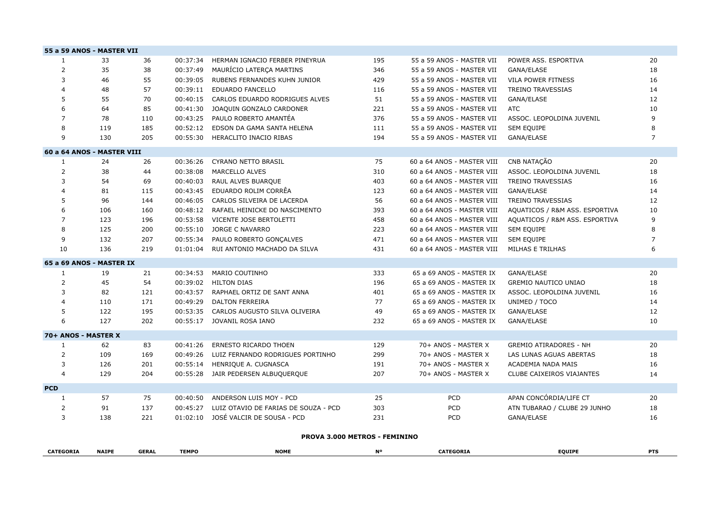| 55 a 59 ANOS - MASTER VII  |              |              |              |                                      |           |                            |                                  |                |
|----------------------------|--------------|--------------|--------------|--------------------------------------|-----------|----------------------------|----------------------------------|----------------|
| $\mathbf{1}$               | 33           | 36           | 00:37:34     | HERMAN IGNACIO FERBER PINEYRUA       | 195       | 55 a 59 ANOS - MASTER VII  | POWER ASS. ESPORTIVA             | 20             |
| $\overline{2}$             | 35           | 38           | 00:37:49     | MAURÍCIO LATERÇA MARTINS             | 346       | 55 a 59 ANOS - MASTER VII  | GANA/ELASE                       | 18             |
| 3                          | 46           | 55           | 00:39:05     | RUBENS FERNANDES KUHN JUNIOR         | 429       | 55 a 59 ANOS - MASTER VII  | VILA POWER FITNESS               | 16             |
| 4                          | 48           | 57           | 00:39:11     | <b>EDUARDO FANCELLO</b>              | 116       | 55 a 59 ANOS - MASTER VII  | <b>TREINO TRAVESSIAS</b>         | 14             |
| 5                          | 55           | 70           | 00:40:15     | CARLOS EDUARDO RODRIGUES ALVES       | 51        | 55 a 59 ANOS - MASTER VII  | GANA/ELASE                       | 12             |
| 6                          | 64           | 85           | 00:41:30     | JOAQUIN GONZALO CARDONER             | 221       | 55 a 59 ANOS - MASTER VII  | <b>ATC</b>                       | 10             |
| $\overline{7}$             | 78           | 110          | 00:43:25     | PAULO ROBERTO AMANTÉA                | 376       | 55 a 59 ANOS - MASTER VII  | ASSOC. LEOPOLDINA JUVENIL        | 9              |
| 8                          | 119          | 185          | 00:52:12     | EDSON DA GAMA SANTA HELENA           | 111       | 55 a 59 ANOS - MASTER VII  | <b>SEM EQUIPE</b>                | 8              |
| 9                          | 130          | 205          | 00:55:30     | HERACLITO INACIO RIBAS               | 194       | 55 a 59 ANOS - MASTER VII  | GANA/ELASE                       | $\overline{7}$ |
| 60 a 64 ANOS - MASTER VIII |              |              |              |                                      |           |                            |                                  |                |
| $\mathbf{1}$               | 24           | 26           | 00:36:26     | <b>CYRANO NETTO BRASIL</b>           | 75        | 60 a 64 ANOS - MASTER VIII | CNB NATAÇÃO                      | 20             |
| $\overline{2}$             | 38           | 44           | 00:38:08     | <b>MARCELLO ALVES</b>                | 310       | 60 a 64 ANOS - MASTER VIII | ASSOC. LEOPOLDINA JUVENIL        | 18             |
| 3                          | 54           | 69           | 00:40:03     | RAUL ALVES BUARQUE                   | 403       | 60 a 64 ANOS - MASTER VIII | <b>TREINO TRAVESSIAS</b>         | 16             |
| $\overline{4}$             | 81           | 115          | 00:43:45     | EDUARDO ROLIM CORRÊA                 | 123       | 60 a 64 ANOS - MASTER VIII | GANA/ELASE                       | 14             |
| 5                          | 96           | 144          | 00:46:05     | CARLOS SILVEIRA DE LACERDA           | 56        | 60 a 64 ANOS - MASTER VIII | TREINO TRAVESSIAS                | 12             |
| 6                          | 106          | 160          | 00:48:12     | RAFAEL HEINICKE DO NASCIMENTO        | 393       | 60 a 64 ANOS - MASTER VIII | AQUATICOS / R&M ASS. ESPORTIVA   | 10             |
| $\overline{7}$             | 123          | 196          | 00:53:58     | VICENTE JOSE BERTOLETTI              | 458       | 60 a 64 ANOS - MASTER VIII | AQUATICOS / R&M ASS. ESPORTIVA   | 9              |
| 8                          | 125          | 200          | 00:55:10     | JORGE C NAVARRO                      | 223       | 60 a 64 ANOS - MASTER VIII | SEM EQUIPE                       | 8              |
| 9                          | 132          | 207          | 00:55:34     | PAULO ROBERTO GONÇALVES              | 471       | 60 a 64 ANOS - MASTER VIII | SEM EQUIPE                       | $\overline{7}$ |
| 10                         | 136          | 219          | 01:01:04     | RUI ANTONIO MACHADO DA SILVA         | 431       | 60 a 64 ANOS - MASTER VIII | MILHAS E TRILHAS                 | 6              |
| 65 a 69 ANOS - MASTER IX   |              |              |              |                                      |           |                            |                                  |                |
| 1                          | 19           | 21           | 00:34:53     | <b>MARIO COUTINHO</b>                | 333       | 65 a 69 ANOS - MASTER IX   | GANA/ELASE                       | 20             |
| $\overline{2}$             | 45           | 54           | 00:39:02     | <b>HILTON DIAS</b>                   | 196       | 65 a 69 ANOS - MASTER IX   | <b>GREMIO NAUTICO UNIAO</b>      | 18             |
| 3                          | 82           | 121          | 00:43:57     | RAPHAEL ORTIZ DE SANT ANNA           | 401       | 65 a 69 ANOS - MASTER IX   | ASSOC. LEOPOLDINA JUVENIL        | 16             |
| $\overline{4}$             | 110          | 171          | 00:49:29     | <b>DALTON FERREIRA</b>               | 77        | 65 a 69 ANOS - MASTER IX   | UNIMED / TOCO                    | 14             |
| 5                          | 122          | 195          | 00:53:35     | CARLOS AUGUSTO SILVA OLIVEIRA        | 49        | 65 a 69 ANOS - MASTER IX   | GANA/ELASE                       | 12             |
| 6                          | 127          | 202          |              | 00:55:17 JOVANIL ROSA IANO           | 232       | 65 a 69 ANOS - MASTER IX   | GANA/ELASE                       | 10             |
| 70+ ANOS - MASTER X        |              |              |              |                                      |           |                            |                                  |                |
| 1                          | 62           | 83           | 00:41:26     | <b>ERNESTO RICARDO THOEN</b>         | 129       | 70+ ANOS - MASTER X        | <b>GREMIO ATIRADORES - NH</b>    | 20             |
| $\overline{2}$             | 109          | 169          | 00:49:26     | LUIZ FERNANDO RODRIGUES PORTINHO     | 299       | 70+ ANOS - MASTER X        | LAS LUNAS AGUAS ABERTAS          | 18             |
| 3                          | 126          | 201          | 00:55:14     | HENRIQUE A. CUGNASCA                 | 191       | 70+ ANOS - MASTER X        | ACADEMIA NADA MAIS               | 16             |
| $\overline{4}$             | 129          | 204          |              | 00:55:28 JAIR PEDERSEN ALBUQUERQUE   | 207       | 70+ ANOS - MASTER X        | <b>CLUBE CAIXEIROS VIAJANTES</b> | 14             |
| <b>PCD</b>                 |              |              |              |                                      |           |                            |                                  |                |
| 1                          | 57           | 75           | 00:40:50     | ANDERSON LUIS MOY - PCD              | 25        | PCD                        | APAN CONCÓRDIA/LIFE CT           | 20             |
| 2                          | 91           | 137          | 00:45:27     | LUIZ OTAVIO DE FARIAS DE SOUZA - PCD | 303       | PCD                        | ATN TUBARAO / CLUBE 29 JUNHO     | 18             |
| 3                          | 138          | 221          | 01:02:10     | JOSÉ VALCIR DE SOUSA - PCD           | 231       | PCD                        | GANA/ELASE                       | 16             |
|                            |              |              |              | PROVA 3.000 METROS - FEMININO        |           |                            |                                  |                |
|                            |              |              |              |                                      |           |                            |                                  |                |
| <b>CATEGORIA</b>           | <b>NAIPE</b> | <b>GERAL</b> | <b>TEMPO</b> | <b>NOME</b>                          | <b>N°</b> | <b>CATEGORIA</b>           | <b>EQUIPE</b>                    | <b>PTS</b>     |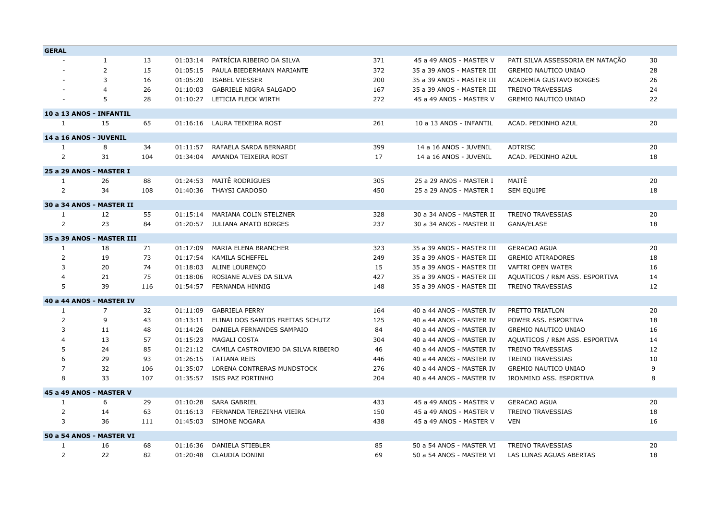| <b>GERAL</b>   |                           |     |          |                                     |     |                           |                                  |    |
|----------------|---------------------------|-----|----------|-------------------------------------|-----|---------------------------|----------------------------------|----|
|                | 1                         | 13  | 01:03:14 | PATRÍCIA RIBEIRO DA SILVA           | 371 | 45 a 49 ANOS - MASTER V   | PATI SILVA ASSESSORIA EM NATAÇÃO | 30 |
|                | $\overline{2}$            | 15  | 01:05:15 | PAULA BIEDERMANN MARIANTE           | 372 | 35 a 39 ANOS - MASTER III | <b>GREMIO NAUTICO UNIAO</b>      | 28 |
|                | $\overline{3}$            | 16  | 01:05:20 | <b>ISABEL VIESSER</b>               | 200 | 35 a 39 ANOS - MASTER III | ACADEMIA GUSTAVO BORGES          | 26 |
|                | $\overline{4}$            | 26  | 01:10:03 | <b>GABRIELE NIGRA SALGADO</b>       | 167 | 35 a 39 ANOS - MASTER III | <b>TREINO TRAVESSIAS</b>         | 24 |
|                | 5                         | 28  | 01:10:27 | LETICIA FLECK WIRTH                 | 272 | 45 a 49 ANOS - MASTER V   | <b>GREMIO NAUTICO UNIAO</b>      | 22 |
|                | 10 a 13 ANOS - INFANTIL   |     |          |                                     |     |                           |                                  |    |
| 1              | 15                        | 65  |          | 01:16:16 LAURA TEIXEIRA ROST        | 261 | 10 a 13 ANOS - INFANTIL   | ACAD. PEIXINHO AZUL              | 20 |
|                | 14 a 16 ANOS - JUVENIL    |     |          |                                     |     |                           |                                  |    |
| 1              | 8                         | 34  | 01:11:57 | RAFAELA SARDA BERNARDI              | 399 | 14 a 16 ANOS - JUVENIL    | <b>ADTRISC</b>                   | 20 |
| 2              | 31                        | 104 | 01:34:04 | AMANDA TEIXEIRA ROST                | 17  | 14 a 16 ANOS - JUVENIL    | ACAD. PEIXINHO AZUL              | 18 |
|                | 25 a 29 ANOS - MASTER I   |     |          |                                     |     |                           |                                  |    |
| $\mathbf{1}$   | 26                        | 88  | 01:24:53 | MAITÊ RODRIGUES                     | 305 | 25 a 29 ANOS - MASTER I   | MAITÊ                            | 20 |
| $\overline{2}$ | 34                        | 108 | 01:40:36 | THAYSI CARDOSO                      | 450 | 25 a 29 ANOS - MASTER I   | <b>SEM EQUIPE</b>                | 18 |
|                | 30 a 34 ANOS - MASTER II  |     |          |                                     |     |                           |                                  |    |
| $\mathbf{1}$   | 12                        | 55  | 01:15:14 | MARIANA COLIN STELZNER              | 328 | 30 a 34 ANOS - MASTER II  | <b>TREINO TRAVESSIAS</b>         | 20 |
| $\overline{2}$ | 23                        | 84  |          | 01:20:57 JULIANA AMATO BORGES       | 237 | 30 a 34 ANOS - MASTER II  | GANA/ELASE                       | 18 |
|                | 35 a 39 ANOS - MASTER III |     |          |                                     |     |                           |                                  |    |
| 1              | 18                        | 71  | 01:17:09 | <b>MARIA ELENA BRANCHER</b>         | 323 | 35 a 39 ANOS - MASTER III | <b>GERACAO AGUA</b>              | 20 |
| 2              | 19                        | 73  | 01:17:54 | KAMILA SCHEFFEL                     | 249 | 35 a 39 ANOS - MASTER III | <b>GREMIO ATIRADORES</b>         | 18 |
| 3              | 20                        | 74  | 01:18:03 | ALINE LOURENCO                      | 15  | 35 a 39 ANOS - MASTER III | <b>VAFTRI OPEN WATER</b>         | 16 |
| $\overline{4}$ | 21                        | 75  | 01:18:06 | ROSIANE ALVES DA SILVA              | 427 | 35 a 39 ANOS - MASTER III | AQUATICOS / R&M ASS. ESPORTIVA   | 14 |
| 5              | 39                        | 116 |          | 01:54:57 FERNANDA HINNIG            | 148 | 35 a 39 ANOS - MASTER III | <b>TREINO TRAVESSIAS</b>         | 12 |
|                | 40 a 44 ANOS - MASTER IV  |     |          |                                     |     |                           |                                  |    |
| $\mathbf{1}$   | $\overline{7}$            | 32  | 01:11:09 | <b>GABRIELA PERRY</b>               | 164 | 40 a 44 ANOS - MASTER IV  | PRETTO TRIATLON                  | 20 |
| 2              | 9                         | 43  | 01:13:11 | ELINAI DOS SANTOS FREITAS SCHUTZ    | 125 | 40 a 44 ANOS - MASTER IV  | POWER ASS. ESPORTIVA             | 18 |
| 3              | 11                        | 48  | 01:14:26 | DANIELA FERNANDES SAMPAIO           | 84  | 40 a 44 ANOS - MASTER IV  | <b>GREMIO NAUTICO UNIAO</b>      | 16 |
| $\overline{4}$ | 13                        | 57  | 01:15:23 | MAGALI COSTA                        | 304 | 40 a 44 ANOS - MASTER IV  | AQUATICOS / R&M ASS. ESPORTIVA   | 14 |
| 5              | 24                        | 85  | 01:21:12 | CAMILA CASTROVIEJO DA SILVA RIBEIRO | 46  | 40 a 44 ANOS - MASTER IV  | <b>TREINO TRAVESSIAS</b>         | 12 |
| 6              | 29                        | 93  | 01:26:15 | TATIANA REIS                        | 446 | 40 a 44 ANOS - MASTER IV  | <b>TREINO TRAVESSIAS</b>         | 10 |
| $\overline{7}$ | 32                        | 106 | 01:35:07 | LORENA CONTRERAS MUNDSTOCK          | 276 | 40 a 44 ANOS - MASTER IV  | <b>GREMIO NAUTICO UNIAO</b>      | 9  |
| 8              | 33                        | 107 | 01:35:57 | ISIS PAZ PORTINHO                   | 204 | 40 a 44 ANOS - MASTER IV  | IRONMIND ASS. ESPORTIVA          | 8  |
|                | 45 a 49 ANOS - MASTER V   |     |          |                                     |     |                           |                                  |    |
| -1             | 6                         | 29  | 01:10:28 | <b>SARA GABRIEL</b>                 | 433 | 45 a 49 ANOS - MASTER V   | <b>GERACAO AGUA</b>              | 20 |
| 2              | 14                        | 63  | 01:16:13 | FERNANDA TEREZINHA VIEIRA           | 150 | 45 a 49 ANOS - MASTER V   | <b>TREINO TRAVESSIAS</b>         | 18 |
| 3              | 36                        | 111 | 01:45:03 | <b>SIMONE NOGARA</b>                | 438 | 45 a 49 ANOS - MASTER V   | <b>VEN</b>                       | 16 |
|                | 50 a 54 ANOS - MASTER VI  |     |          |                                     |     |                           |                                  |    |
| 1              | 16                        | 68  | 01:16:36 | DANIELA STIEBLER                    | 85  | 50 a 54 ANOS - MASTER VI  | <b>TREINO TRAVESSIAS</b>         | 20 |
| 2              | 22                        | 82  | 01:20:48 | <b>CLAUDIA DONINI</b>               | 69  | 50 a 54 ANOS - MASTER VI  | LAS LUNAS AGUAS ABERTAS          | 18 |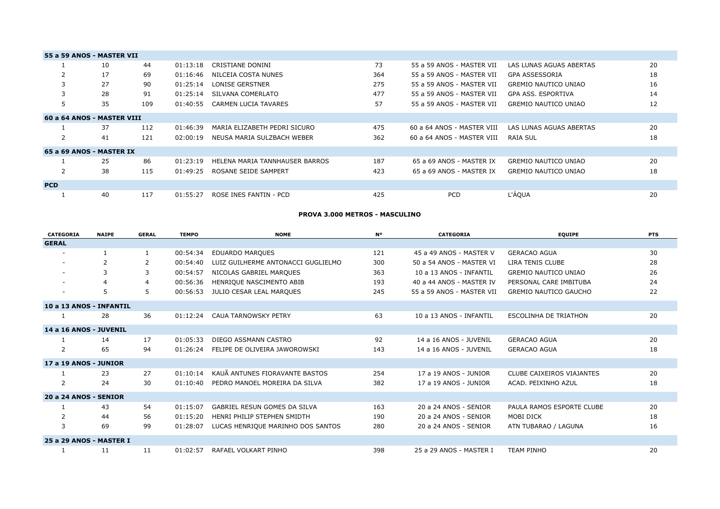|            | 55 a 59 ANOS - MASTER VII  |     |          |                                |     |                            |                             |    |
|------------|----------------------------|-----|----------|--------------------------------|-----|----------------------------|-----------------------------|----|
|            | 10                         | 44  | 01:13:18 | CRISTIANE DONINI               | 73  | 55 a 59 ANOS - MASTER VII  | LAS LUNAS AGUAS ABERTAS     | 20 |
| 2          | 17                         | 69  | 01:16:46 | NILCEIA COSTA NUNES            | 364 | 55 a 59 ANOS - MASTER VII  | GPA ASSESSORIA              | 18 |
| 3          | 27                         | 90  | 01:25:14 | <b>LONISE GERSTNER</b>         | 275 | 55 a 59 ANOS - MASTER VII  | <b>GREMIO NAUTICO UNIAO</b> | 16 |
| 3          | 28                         | 91  | 01:25:14 | SILVANA COMERLATO              | 477 | 55 a 59 ANOS - MASTER VII  | GPA ASS. ESPORTIVA          | 14 |
| 5          | 35                         | 109 | 01:40:55 | <b>CARMEN LUCIA TAVARES</b>    | 57  | 55 a 59 ANOS - MASTER VII  | <b>GREMIO NAUTICO UNIAO</b> | 12 |
|            | 60 a 64 ANOS - MASTER VIII |     |          |                                |     |                            |                             |    |
|            | 37                         | 112 | 01:46:39 | MARIA ELIZABETH PEDRI SICURO   | 475 | 60 a 64 ANOS - MASTER VIII | LAS LUNAS AGUAS ABERTAS     | 20 |
| 2          | 41                         | 121 | 02:00:19 | NEUSA MARIA SULZBACH WEBER     | 362 | 60 a 64 ANOS - MASTER VIII | RAIA SUL                    | 18 |
|            | 65 a 69 ANOS - MASTER IX   |     |          |                                |     |                            |                             |    |
|            | 25                         | 86  | 01:23:19 | HELENA MARIA TANNHAUSER BARROS | 187 | 65 a 69 ANOS - MASTER IX   | <b>GREMIO NAUTICO UNIAO</b> | 20 |
| 2          | 38                         | 115 | 01:49:25 | ROSANE SEIDE SAMPERT           | 423 | 65 a 69 ANOS - MASTER IX   | <b>GREMIO NAUTICO UNIAO</b> | 18 |
| <b>PCD</b> |                            |     |          |                                |     |                            |                             |    |
|            | 40                         | 117 | 01:55:27 | ROSE INES FANTIN - PCD         | 425 | <b>PCD</b>                 | <b>L'ÁQUA</b>               | 20 |

**PROVA 3.000 METROS - MASCULINO**

| <b>CATEGORIA</b>        | <b>NAIPE</b> | <b>GERAL</b> | <b>TEMPO</b> | <b>NOME</b>                        | <b>N°</b> | <b>CATEGORIA</b>          | <b>EQUIPE</b>                | <b>PTS</b> |
|-------------------------|--------------|--------------|--------------|------------------------------------|-----------|---------------------------|------------------------------|------------|
| <b>GERAL</b>            |              |              |              |                                    |           |                           |                              |            |
|                         |              | $\mathbf{1}$ | 00:54:34     | <b>EDUARDO MARQUES</b>             | 121       | 45 a 49 ANOS - MASTER V   | <b>GERACAO AGUA</b>          | 30         |
|                         | 2            | 2            | 00:54:40     | LUIZ GUILHERME ANTONACCI GUGLIELMO | 300       | 50 a 54 ANOS - MASTER VI  | LIRA TENIS CLUBE             | 28         |
|                         |              | 3            | 00:54:57     | NICOLAS GABRIEL MARQUES            | 363       | 10 a 13 ANOS - INFANTIL   | <b>GREMIO NAUTICO UNIAO</b>  | 26         |
| $\sim$                  |              | 4            | 00:56:36     | HENRIQUE NASCIMENTO ABIB           | 193       | 40 a 44 ANOS - MASTER IV  | PERSONAL CARE IMBITUBA       | 24         |
| $\sim$                  | 5            | 5            | 00:56:53     | JULIO CESAR LEAL MARQUES           | 245       | 55 a 59 ANOS - MASTER VII | <b>GREMIO NAUTICO GAUCHO</b> | 22         |
| 10 a 13 ANOS - INFANTIL |              |              |              |                                    |           |                           |                              |            |
|                         | 28           | 36           | 01:12:24     | <b>CAUA TARNOWSKY PETRY</b>        | 63        | 10 a 13 ANOS - INFANTIL   | <b>ESCOLINHA DE TRIATHON</b> | 20         |
| 14 a 16 ANOS - JUVENIL  |              |              |              |                                    |           |                           |                              |            |
|                         | 14           | 17           | 01:05:33     | DIEGO ASSMANN CASTRO               | 92        | 14 a 16 ANOS - JUVENIL    | <b>GERACAO AGUA</b>          | 20         |
| $\overline{2}$          | 65           | 94           | 01:26:24     | FELIPE DE OLIVEIRA JAWOROWSKI      | 143       | 14 a 16 ANOS - JUVENIL    | <b>GERACAO AGUA</b>          | 18         |
| 17 a 19 ANOS - JUNIOR   |              |              |              |                                    |           |                           |                              |            |
|                         | 23           | 27           | 01:10:14     | KAUÃ ANTUNES FIORAVANTE BASTOS     | 254       | 17 a 19 ANOS - JUNIOR     | CLUBE CAIXEIROS VIAJANTES    | 20         |
| 2                       | 24           | 30           | 01:10:40     | PEDRO MANOEL MOREIRA DA SILVA      | 382       | 17 a 19 ANOS - JUNIOR     | ACAD. PEIXINHO AZUL          | 18         |
| 20 a 24 ANOS - SENIOR   |              |              |              |                                    |           |                           |                              |            |
|                         | 43           | 54           | 01:15:07     | GABRIEL RESUN GOMES DA SILVA       | 163       | 20 a 24 ANOS - SENIOR     | PAULA RAMOS ESPORTE CLUBE    | 20         |
| 2                       | 44           | 56           | 01:15:20     | HENRI PHILIP STEPHEN SMIDTH        | 190       | 20 a 24 ANOS - SENIOR     | MOBI DICK                    | 18         |
| 3                       | 69           | 99           | 01:28:07     | LUCAS HENRIQUE MARINHO DOS SANTOS  | 280       | 20 a 24 ANOS - SENIOR     | ATN TUBARAO / LAGUNA         | 16         |
| 25 a 29 ANOS - MASTER I |              |              |              |                                    |           |                           |                              |            |
|                         | 11           | 11           | 01:02:57     | RAFAEL VOLKART PINHO               | 398       | 25 a 29 ANOS - MASTER I   | <b>TEAM PINHO</b>            | 20         |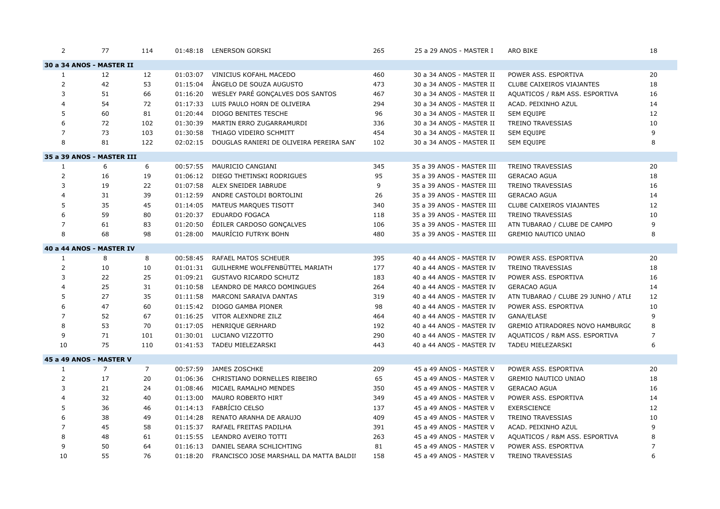| 2              | 77                        | 114            |          | 01:48:18 LENERSON GORSKI                 | 265 | 25 a 29 ANOS - MASTER I   | ARO BIKE                            | 18             |
|----------------|---------------------------|----------------|----------|------------------------------------------|-----|---------------------------|-------------------------------------|----------------|
|                | 30 a 34 ANOS - MASTER II  |                |          |                                          |     |                           |                                     |                |
| 1              | 12                        | 12             | 01:03:07 | <b>VINICIUS KOFAHL MACEDO</b>            | 460 | 30 a 34 ANOS - MASTER II  | POWER ASS. ESPORTIVA                | 20             |
| $\overline{2}$ | 42                        | 53             | 01:15:04 | ÂNGELO DE SOUZA AUGUSTO                  | 473 | 30 a 34 ANOS - MASTER II  | <b>CLUBE CAIXEIROS VIAJANTES</b>    | 18             |
| 3              | 51                        | 66             | 01:16:20 | WESLEY PARÉ GONÇALVES DOS SANTOS         | 467 | 30 a 34 ANOS - MASTER II  | AQUATICOS / R&M ASS. ESPORTIVA      | 16             |
| 4              | 54                        | 72             | 01:17:33 | LUIS PAULO HORN DE OLIVEIRA              | 294 | 30 a 34 ANOS - MASTER II  | ACAD. PEIXINHO AZUL                 | 14             |
| 5              | 60                        | 81             | 01:20:44 | <b>DIOGO BENITES TESCHE</b>              | 96  | 30 a 34 ANOS - MASTER II  | SEM EQUIPE                          | 12             |
| 6              | 72                        | 102            | 01:30:39 | MARTIN ERRO ZUGARRAMURDI                 | 336 | 30 a 34 ANOS - MASTER II  | <b>TREINO TRAVESSIAS</b>            | 10             |
| $\overline{7}$ | 73                        | 103            | 01:30:58 | THIAGO VIDEIRO SCHMITT                   | 454 | 30 a 34 ANOS - MASTER II  | SEM EQUIPE                          | 9              |
| 8              | 81                        | 122            | 02:02:15 | DOUGLAS RANIERI DE OLIVEIRA PEREIRA SANT | 102 | 30 a 34 ANOS - MASTER II  | <b>SEM EQUIPE</b>                   | 8              |
|                | 35 a 39 ANOS - MASTER III |                |          |                                          |     |                           |                                     |                |
| 1              | 6                         | 6              | 00:57:55 | MAURICIO CANGIANI                        | 345 | 35 a 39 ANOS - MASTER III | <b>TREINO TRAVESSIAS</b>            | 20             |
| 2              | 16                        | 19             | 01:06:12 | DIEGO THETINSKI RODRIGUES                | 95  | 35 a 39 ANOS - MASTER III | <b>GERACAO AGUA</b>                 | 18             |
| 3              | 19                        | 22             | 01:07:58 | ALEX SNEIDER IABRUDE                     | 9   | 35 a 39 ANOS - MASTER III | <b>TREINO TRAVESSIAS</b>            | 16             |
| 4              | 31                        | 39             | 01:12:59 | ANDRE CASTOLDI BORTOLINI                 | 26  | 35 a 39 ANOS - MASTER III | <b>GERACAO AGUA</b>                 | 14             |
| 5              | 35                        | 45             | 01:14:05 | MATEUS MARQUES TISOTT                    | 340 | 35 a 39 ANOS - MASTER III | CLUBE CAIXEIROS VIAJANTES           | 12             |
| 6              | 59                        | 80             | 01:20:37 | <b>EDUARDO FOGACA</b>                    | 118 | 35 a 39 ANOS - MASTER III | <b>TREINO TRAVESSIAS</b>            | 10             |
| $\overline{7}$ | 61                        | 83             | 01:20:50 | ÉDILER CARDOSO GONÇALVES                 | 106 | 35 a 39 ANOS - MASTER III | ATN TUBARAO / CLUBE DE CAMPO        | 9              |
| 8              | 68                        | 98             | 01:28:00 | MAURÍCIO FUTRYK BOHN                     | 480 | 35 a 39 ANOS - MASTER III | <b>GREMIO NAUTICO UNIAO</b>         | 8              |
|                | 40 a 44 ANOS - MASTER IV  |                |          |                                          |     |                           |                                     |                |
| $\mathbf{1}$   | 8                         | 8              | 00:58:45 | RAFAEL MATOS SCHEUER                     | 395 | 40 a 44 ANOS - MASTER IV  | POWER ASS. ESPORTIVA                | 20             |
| $\overline{2}$ | 10                        | 10             | 01:01:31 | GUILHERME WOLFFENBÜTTEL MARIATH          | 177 | 40 a 44 ANOS - MASTER IV  | <b>TREINO TRAVESSIAS</b>            | 18             |
| 3              | 22                        | 25             | 01:09:21 | <b>GUSTAVO RICARDO SCHUTZ</b>            | 183 | 40 a 44 ANOS - MASTER IV  | POWER ASS. ESPORTIVA                | 16             |
| 4              | 25                        | 31             | 01:10:58 | LEANDRO DE MARCO DOMINGUES               | 264 | 40 a 44 ANOS - MASTER IV  | <b>GERACAO AGUA</b>                 | 14             |
| 5              | 27                        | 35             | 01:11:58 | MARCONI SARAIVA DANTAS                   | 319 | 40 a 44 ANOS - MASTER IV  | ATN TUBARAO / CLUBE 29 JUNHO / ATLI | 12             |
| 6              | 47                        | 60             | 01:15:42 | DIOGO GAMBA PIONER                       | 98  | 40 a 44 ANOS - MASTER IV  | POWER ASS. ESPORTIVA                | 10             |
| $\overline{7}$ | 52                        | 67             | 01:16:25 | VITOR ALEXNDRE ZILZ                      | 464 | 40 a 44 ANOS - MASTER IV  | GANA/ELASE                          | 9              |
| 8              | 53                        | 70             | 01:17:05 | HENRIQUE GERHARD                         | 192 | 40 a 44 ANOS - MASTER IV  | GREMIO ATIRADORES NOVO HAMBURGC     | 8              |
| 9              | 71                        | 101            | 01:30:01 | LUCIANO VIZZOTTO                         | 290 | 40 a 44 ANOS - MASTER IV  | AQUATICOS / R&M ASS. ESPORTIVA      | $\overline{7}$ |
| 10             | 75                        | 110            | 01:41:53 | <b>TADEU MIELEZARSKI</b>                 | 443 | 40 a 44 ANOS - MASTER IV  | TADEU MIELEZARSKI                   | 6              |
|                | 45 a 49 ANOS - MASTER V   |                |          |                                          |     |                           |                                     |                |
| $\mathbf{1}$   | $\overline{7}$            | $\overline{7}$ | 00:57:59 | JAMES ZOSCHKE                            | 209 | 45 a 49 ANOS - MASTER V   | POWER ASS. ESPORTIVA                | 20             |
| 2              | 17                        | 20             | 01:06:36 | CHRISTIANO DORNELLES RIBEIRO             | 65  | 45 a 49 ANOS - MASTER V   | <b>GREMIO NAUTICO UNIAO</b>         | 18             |
| 3              | 21                        | 24             | 01:08:46 | MICAEL RAMALHO MENDES                    | 350 | 45 a 49 ANOS - MASTER V   | <b>GERACAO AGUA</b>                 | 16             |
| 4              | 32                        | 40             | 01:13:00 | MAURO ROBERTO HIRT                       | 349 | 45 a 49 ANOS - MASTER V   | POWER ASS. ESPORTIVA                | 14             |
| 5              | 36                        | 46             | 01:14:13 | FABRÍCIO CELSO                           | 137 | 45 a 49 ANOS - MASTER V   | <b>EXERSCIENCE</b>                  | 12             |
| 6              | 38                        | 49             | 01:14:28 | RENATO ARANHA DE ARAUJO                  | 409 | 45 a 49 ANOS - MASTER V   | <b>TREINO TRAVESSIAS</b>            | 10             |
| $\overline{7}$ | 45                        | 58             | 01:15:37 | RAFAEL FREITAS PADILHA                   | 391 | 45 a 49 ANOS - MASTER V   | ACAD. PEIXINHO AZUL                 | 9              |
| 8              | 48                        | 61             | 01:15:55 | LEANDRO AVEIRO TOTTI                     | 263 | 45 a 49 ANOS - MASTER V   | AQUATICOS / R&M ASS. ESPORTIVA      | 8              |
| 9              | 50                        | 64             | 01:16:13 | DANIEL SEARA SCHLICHTING                 | 81  | 45 a 49 ANOS - MASTER V   | POWER ASS. ESPORTIVA                | $\overline{7}$ |
| 10             | 55                        | 76             | 01:18:20 | FRANCISCO JOSE MARSHALL DA MATTA BALDII  | 158 | 45 a 49 ANOS - MASTER V   | <b>TREINO TRAVESSIAS</b>            | 6              |